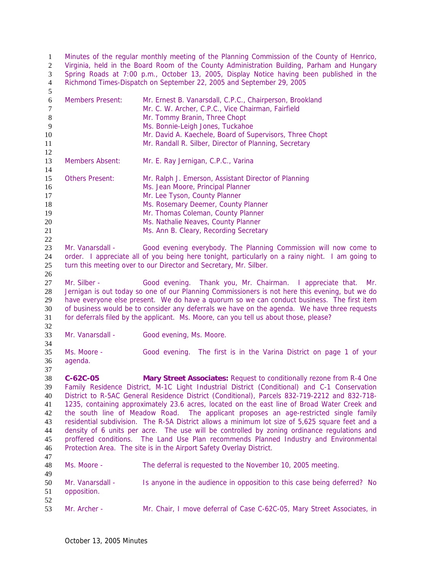Minutes of the regular monthly meeting of the Planning Commission of the County of Henrico, Virginia, held in the Board Room of the County Administration Building, Parham and Hungary Spring Roads at 7:00 p.m., October 13, 2005, Display Notice having been published in the Richmond Times-Dispatch on September 22, 2005 and September 29, 2005 

| $\sqrt{6}$ | <b>Members Present:</b> | Mr. Ernest B. Vanarsdall, C.P.C., Chairperson, Brookland                                        |
|------------|-------------------------|-------------------------------------------------------------------------------------------------|
| 7          |                         | Mr. C. W. Archer, C.P.C., Vice Chairman, Fairfield                                              |
| $8\,$      |                         | Mr. Tommy Branin, Three Chopt                                                                   |
| 9          |                         | Ms. Bonnie-Leigh Jones, Tuckahoe                                                                |
| 10         |                         | Mr. David A. Kaechele, Board of Supervisors, Three Chopt                                        |
| 11         |                         | Mr. Randall R. Silber, Director of Planning, Secretary                                          |
| 12         |                         |                                                                                                 |
| 13         | <b>Members Absent:</b>  | Mr. E. Ray Jernigan, C.P.C., Varina                                                             |
| 14         |                         |                                                                                                 |
| 15         | <b>Others Present:</b>  | Mr. Ralph J. Emerson, Assistant Director of Planning                                            |
| 16         |                         | Ms. Jean Moore, Principal Planner                                                               |
| 17         |                         | Mr. Lee Tyson, County Planner                                                                   |
| 18         |                         | Ms. Rosemary Deemer, County Planner                                                             |
| 19         |                         | Mr. Thomas Coleman, County Planner                                                              |
| 20         |                         | Ms. Nathalie Neaves, County Planner                                                             |
| 21         |                         | Ms. Ann B. Cleary, Recording Secretary                                                          |
| 22         |                         |                                                                                                 |
| 23         | Mr. Vanarsdall -        | Good evening everybody. The Planning Commission will now come to                                |
| 24         |                         | order. I appreciate all of you being here tonight, particularly on a rainy night. I am going to |
|            |                         |                                                                                                 |
| 25         |                         | turn this meeting over to our Director and Secretary, Mr. Silber.                               |
| 26         |                         |                                                                                                 |
| 27         | Mr. Silber -            | Good evening. Thank you, Mr. Chairman. I appreciate that.<br>Mr.                                |
| 28         |                         | Jernigan is out today so one of our Planning Commissioners is not here this evening, but we do  |
| 29         |                         | have everyone else present. We do have a quorum so we can conduct business. The first item      |
| 30         |                         | of business would be to consider any deferrals we have on the agenda. We have three requests    |
| 31         |                         | for deferrals filed by the applicant. Ms. Moore, can you tell us about those, please?           |
| 32         |                         |                                                                                                 |
| 33         | Mr. Vanarsdall -        | Good evening, Ms. Moore.                                                                        |
| 34         |                         |                                                                                                 |
| 35         | Ms. Moore -             | Good evening. The first is in the Varina District on page 1 of your                             |
| 36         | agenda.                 |                                                                                                 |
| 37         |                         |                                                                                                 |
| 38         | $C-62C-05$              | Mary Street Associates: Request to conditionally rezone from R-4 One                            |
| 39         |                         |                                                                                                 |
|            |                         |                                                                                                 |
| 40         |                         | Family Residence District, M-1C Light Industrial District (Conditional) and C-1 Conservation    |
|            |                         | District to R-5AC General Residence District (Conditional), Parcels 832-719-2212 and 832-718-   |
| 41         |                         | 1235, containing approximately 23.6 acres, located on the east line of Broad Water Creek and    |
| 42         |                         | the south line of Meadow Road. The applicant proposes an age-restricted single family           |
| 43         |                         | residential subdivision. The R-5A District allows a minimum lot size of 5,625 square feet and a |
| 44         |                         | density of 6 units per acre. The use will be controlled by zoning ordinance regulations and     |
| 45         |                         | proffered conditions. The Land Use Plan recommends Planned Industry and Environmental           |
| 46         |                         | Protection Area. The site is in the Airport Safety Overlay District.                            |
| 47         |                         |                                                                                                 |
| 48         | Ms. Moore -             | The deferral is requested to the November 10, 2005 meeting.                                     |
| 49         |                         |                                                                                                 |
| 50         | Mr. Vanarsdall -        |                                                                                                 |
|            |                         | Is anyone in the audience in opposition to this case being deferred? No                         |
| 51         | opposition.             |                                                                                                 |
| 52<br>53   | Mr. Archer -            | Mr. Chair, I move deferral of Case C-62C-05, Mary Street Associates, in                         |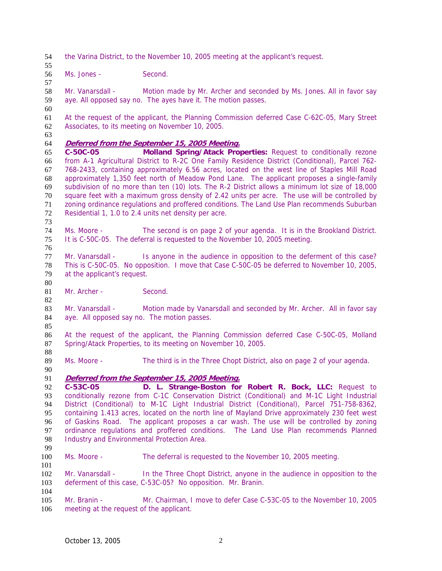the Varina District, to the November 10, 2005 meeting at the applicant's request.

Ms. Jones - Second.

Mr. Vanarsdall - Motion made by Mr. Archer and seconded by Ms. Jones. All in favor say aye. All opposed say no. The ayes have it. The motion passes.

At the request of the applicant, the Planning Commission deferred Case C-62C-05, Mary Street Associates, to its meeting on November 10, 2005.

## **Deferred from the September 15, 2005 Meeting.**

**C-50C-05 Molland Spring/Atack Properties:** Request to conditionally rezone from A-1 Agricultural District to R-2C One Family Residence District (Conditional), Parcel 762- 768-2433, containing approximately 6.56 acres, located on the west line of Staples Mill Road approximately 1,350 feet north of Meadow Pond Lane. The applicant proposes a single-family subdivision of no more than ten (10) lots. The R-2 District allows a minimum lot size of 18,000 square feet with a maximum gross density of 2.42 units per acre. The use will be controlled by zoning ordinance regulations and proffered conditions. The Land Use Plan recommends Suburban Residential 1, 1.0 to 2.4 units net density per acre.

Ms. Moore - The second is on page 2 of your agenda. It is in the Brookland District. It is C-50C-05. The deferral is requested to the November 10, 2005 meeting.

Mr. Vanarsdall - Is anyone in the audience in opposition to the deferment of this case? This is C-50C-05. No opposition. I move that Case C-50C-05 be deferred to November 10, 2005, at the applicant's request.

81 Mr. Archer - Second.

83 Mr. Vanarsdall - Motion made by Vanarsdall and seconded by Mr. Archer. All in favor say aye. All opposed say no. The motion passes. 

At the request of the applicant, the Planning Commission deferred Case C-50C-05, Molland Spring/Atack Properties, to its meeting on November 10, 2005. 

89 Ms. Moore - The third is in the Three Chopt District, also on page 2 of your agenda.

## **Deferred from the September 15, 2005 Meeting.**

**C-53C-05 D. L. Strange-Boston for Robert R. Bock, LLC:** Request to conditionally rezone from C-1C Conservation District (Conditional) and M-1C Light Industrial District (Conditional) to M-1C Light Industrial District (Conditional), Parcel 751-758-8362, containing 1.413 acres, located on the north line of Mayland Drive approximately 230 feet west of Gaskins Road. The applicant proposes a car wash. The use will be controlled by zoning ordinance regulations and proffered conditions. The Land Use Plan recommends Planned Industry and Environmental Protection Area. 

Ms. Moore - The deferral is requested to the November 10, 2005 meeting. 

Mr. Vanarsdall - In the Three Chopt District, anyone in the audience in opposition to the deferment of this case, C-53C-05? No opposition. Mr. Branin.

Mr. Branin - Mr. Chairman, I move to defer Case C-53C-05 to the November 10, 2005 meeting at the request of the applicant.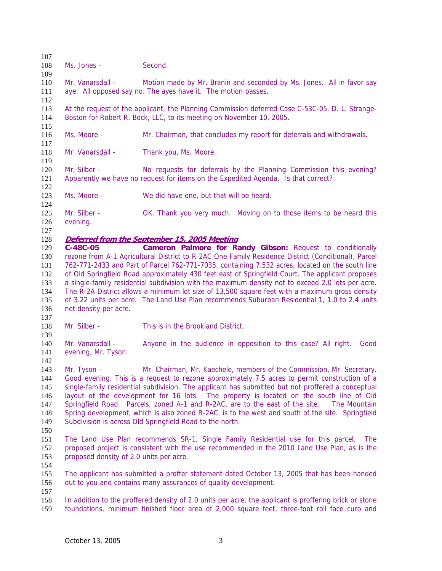Ms. Jones - Second. Mr. Vanarsdall - Motion made by Mr. Branin and seconded by Ms. Jones. All in favor say aye. All opposed say no. The ayes have it. The motion passes. At the request of the applicant, the Planning Commission deferred Case C-53C-05, D. L. Strange-Boston for Robert R. Bock, LLC, to its meeting on November 10, 2005. Ms. Moore - Mr. Chairman, that concludes my report for deferrals and withdrawals. 118 Mr. Vanarsdall - Thank you, Ms. Moore. Mr. Silber - No requests for deferrals by the Planning Commission this evening? Apparently we have no request for items on the Expedited Agenda. Is that correct? Ms. Moore - We did have one, but that will be heard. Mr. Silber - OK. Thank you very much. Moving on to those items to be heard this evening. **Deferred from the September 15, 2005 Meeting C-48C-05 Cameron Palmore for Randy Gibson:** Request to conditionally rezone from A-1 Agricultural District to R-2AC One Family Residence District (Conditional), Parcel 762-771-2433 and Part of Parcel 762-771-7035, containing 7.532 acres, located on the south line of Old Springfield Road approximately 430 feet east of Springfield Court. The applicant proposes a single-family residential subdivision with the maximum density not to exceed 2.0 lots per acre. The R-2A District allows a minimum lot size of 13,500 square feet with a maximum gross density of 3.22 units per acre. The Land Use Plan recommends Suburban Residential 1, 1.0 to 2.4 units net density per acre. Mr. Silber - This is in the Brookland District. Mr. Vanarsdall - Anyone in the audience in opposition to this case? All right. Good evening, Mr. Tyson. Mr. Tyson - Mr. Chairman, Mr. Kaechele, members of the Commission, Mr. Secretary. Good evening. This is a request to rezone approximately 7.5 acres to permit construction of a single-family residential subdivision. The applicant has submitted but not proffered a conceptual layout of the development for 16 lots. The property is located on the south line of Old Springfield Road. Parcels, zoned A-1 and R-2AC, are to the east of the site. The Mountain Spring development, which is also zoned R-2AC, is to the west and south of the site. Springfield Subdivision is across Old Springfield Road to the north. The Land Use Plan recommends SR-1, Single Family Residential use for this parcel. The proposed project is consistent with the use recommended in the 2010 Land Use Plan, as is the proposed density of 2.0 units per acre. The applicant has submitted a proffer statement dated October 13, 2005 that has been handed out to you and contains many assurances of quality development. In addition to the proffered density of 2.0 units per acre, the applicant is proffering brick or stone foundations, minimum finished floor area of 2,000 square feet, three-foot roll face curb and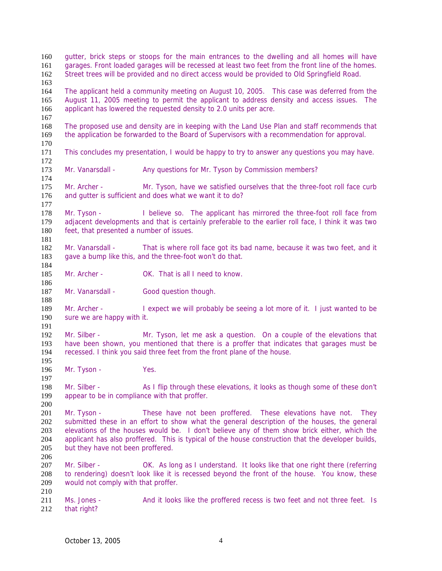| 160<br>161<br>162<br>163        |                                                                                                                                                                                                                                                                                                                                                                                                                            | qutter, brick steps or stoops for the main entrances to the dwelling and all homes will have<br>garages. Front loaded garages will be recessed at least two feet from the front line of the homes.<br>Street trees will be provided and no direct access would be provided to Old Springfield Road. |  |  |
|---------------------------------|----------------------------------------------------------------------------------------------------------------------------------------------------------------------------------------------------------------------------------------------------------------------------------------------------------------------------------------------------------------------------------------------------------------------------|-----------------------------------------------------------------------------------------------------------------------------------------------------------------------------------------------------------------------------------------------------------------------------------------------------|--|--|
| 164<br>165<br>166               | The applicant held a community meeting on August 10, 2005. This case was deferred from the<br>August 11, 2005 meeting to permit the applicant to address density and access issues. The<br>applicant has lowered the requested density to 2.0 units per acre.                                                                                                                                                              |                                                                                                                                                                                                                                                                                                     |  |  |
| 167<br>168<br>169<br>170        | The proposed use and density are in keeping with the Land Use Plan and staff recommends that<br>the application be forwarded to the Board of Supervisors with a recommendation for approval.                                                                                                                                                                                                                               |                                                                                                                                                                                                                                                                                                     |  |  |
| 171<br>172                      | This concludes my presentation, I would be happy to try to answer any questions you may have.                                                                                                                                                                                                                                                                                                                              |                                                                                                                                                                                                                                                                                                     |  |  |
| 173<br>174                      | Mr. Vanarsdall -                                                                                                                                                                                                                                                                                                                                                                                                           | Any questions for Mr. Tyson by Commission members?                                                                                                                                                                                                                                                  |  |  |
| 175<br>176<br>177               | Mr. Archer -                                                                                                                                                                                                                                                                                                                                                                                                               | Mr. Tyson, have we satisfied ourselves that the three-foot roll face curb<br>and gutter is sufficient and does what we want it to do?                                                                                                                                                               |  |  |
| 178<br>179<br>180<br>181        | Mr. Tyson -<br>feet, that presented a number of issues.                                                                                                                                                                                                                                                                                                                                                                    | I believe so. The applicant has mirrored the three-foot roll face from<br>adjacent developments and that is certainly preferable to the earlier roll face, I think it was two                                                                                                                       |  |  |
| 182<br>183<br>184               | Mr. Vanarsdall -                                                                                                                                                                                                                                                                                                                                                                                                           | That is where roll face got its bad name, because it was two feet, and it<br>gave a bump like this, and the three-foot won't do that.                                                                                                                                                               |  |  |
| 185<br>186                      | Mr. Archer -                                                                                                                                                                                                                                                                                                                                                                                                               | OK. That is all I need to know.                                                                                                                                                                                                                                                                     |  |  |
| 187<br>188                      | Mr. Vanarsdall -                                                                                                                                                                                                                                                                                                                                                                                                           | Good question though.                                                                                                                                                                                                                                                                               |  |  |
| 189<br>190<br>191               | Mr. Archer -<br>sure we are happy with it.                                                                                                                                                                                                                                                                                                                                                                                 | I expect we will probably be seeing a lot more of it. I just wanted to be                                                                                                                                                                                                                           |  |  |
| 192<br>193<br>194<br>195        | Mr. Silber -                                                                                                                                                                                                                                                                                                                                                                                                               | Mr. Tyson, let me ask a question. On a couple of the elevations that<br>have been shown, you mentioned that there is a proffer that indicates that garages must be<br>recessed. I think you said three feet from the front plane of the house.                                                      |  |  |
| 196<br>197                      | Mr. Tyson -                                                                                                                                                                                                                                                                                                                                                                                                                | Yes.                                                                                                                                                                                                                                                                                                |  |  |
| 198<br>199<br>200               | Mr. Silber -<br>appear to be in compliance with that proffer.                                                                                                                                                                                                                                                                                                                                                              | As I flip through these elevations, it looks as though some of these don't                                                                                                                                                                                                                          |  |  |
| 201<br>202<br>203<br>204<br>205 | These have not been proffered. These elevations have not.<br>Mr. Tyson -<br>They<br>submitted these in an effort to show what the general description of the houses, the general<br>elevations of the houses would be. I don't believe any of them show brick either, which the<br>applicant has also proffered. This is typical of the house construction that the developer builds,<br>but they have not been proffered. |                                                                                                                                                                                                                                                                                                     |  |  |
| 206<br>207<br>208<br>209        | Mr. Silber -<br>would not comply with that proffer.                                                                                                                                                                                                                                                                                                                                                                        | OK. As long as I understand. It looks like that one right there (referring<br>to rendering) doesn't look like it is recessed beyond the front of the house. You know, these                                                                                                                         |  |  |
| 210<br>211<br>212               | Ms. Jones -<br>that right?                                                                                                                                                                                                                                                                                                                                                                                                 | And it looks like the proffered recess is two feet and not three feet. Is                                                                                                                                                                                                                           |  |  |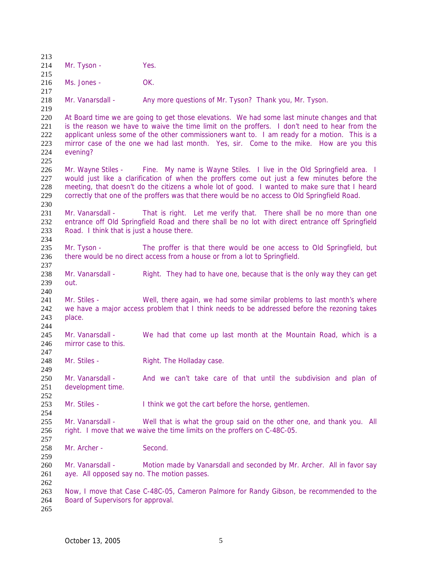| 213                             |                                                                 |                                                                                                                                                                                                                                                                                                                                                                                          |
|---------------------------------|-----------------------------------------------------------------|------------------------------------------------------------------------------------------------------------------------------------------------------------------------------------------------------------------------------------------------------------------------------------------------------------------------------------------------------------------------------------------|
| 214<br>215                      | Mr. Tyson -                                                     | Yes.                                                                                                                                                                                                                                                                                                                                                                                     |
| 216<br>217                      | Ms. Jones -                                                     | OK.                                                                                                                                                                                                                                                                                                                                                                                      |
| 218<br>219                      | Mr. Vanarsdall -                                                | Any more questions of Mr. Tyson? Thank you, Mr. Tyson.                                                                                                                                                                                                                                                                                                                                   |
| 220<br>221<br>222<br>223<br>224 | evening?                                                        | At Board time we are going to get those elevations. We had some last minute changes and that<br>is the reason we have to waive the time limit on the proffers. I don't need to hear from the<br>applicant unless some of the other commissioners want to. I am ready for a motion. This is a<br>mirror case of the one we had last month. Yes, sir. Come to the mike. How are you this   |
| 225<br>226<br>227<br>228<br>229 |                                                                 | Mr. Wayne Stiles - Fine. My name is Wayne Stiles. I live in the Old Springfield area. I<br>would just like a clarification of when the proffers come out just a few minutes before the<br>meeting, that doesn't do the citizens a whole lot of good. I wanted to make sure that I heard<br>correctly that one of the proffers was that there would be no access to Old Springfield Road. |
| 230<br>231<br>232<br>233<br>234 | Mr. Vanarsdall -<br>Road. I think that is just a house there.   | That is right. Let me verify that. There shall be no more than one<br>entrance off Old Springfield Road and there shall be no lot with direct entrance off Springfield                                                                                                                                                                                                                   |
| 235<br>236<br>237               | Mr. Tyson -                                                     | The proffer is that there would be one access to Old Springfield, but<br>there would be no direct access from a house or from a lot to Springfield.                                                                                                                                                                                                                                      |
| 238<br>239<br>240               | Mr. Vanarsdall -<br>out.                                        | Right. They had to have one, because that is the only way they can get                                                                                                                                                                                                                                                                                                                   |
| 241<br>242<br>243<br>244        | Mr. Stiles -<br>place.                                          | Well, there again, we had some similar problems to last month's where<br>we have a major access problem that I think needs to be addressed before the rezoning takes                                                                                                                                                                                                                     |
| 245<br>246<br>247               | Mr. Vanarsdall -<br>mirror case to this.                        | We had that come up last month at the Mountain Road, which is a                                                                                                                                                                                                                                                                                                                          |
| 248<br>249                      | Mr. Stiles -                                                    | Right. The Holladay case.                                                                                                                                                                                                                                                                                                                                                                |
| 250<br>251<br>252               | Mr. Vanarsdall -<br>development time.                           | And we can't take care of that until the subdivision and plan of                                                                                                                                                                                                                                                                                                                         |
| 253<br>254                      | Mr. Stiles -                                                    | I think we got the cart before the horse, gentlemen.                                                                                                                                                                                                                                                                                                                                     |
| 255<br>256<br>257               | Mr. Vanarsdall -                                                | Well that is what the group said on the other one, and thank you. All<br>right. I move that we waive the time limits on the proffers on C-48C-05.                                                                                                                                                                                                                                        |
| 258<br>259                      | Mr. Archer -                                                    | Second.                                                                                                                                                                                                                                                                                                                                                                                  |
| 260<br>261<br>262               | Mr. Vanarsdall -<br>aye. All opposed say no. The motion passes. | Motion made by Vanarsdall and seconded by Mr. Archer. All in favor say                                                                                                                                                                                                                                                                                                                   |
| 263<br>264<br>265               | Board of Supervisors for approval.                              | Now, I move that Case C-48C-05, Cameron Palmore for Randy Gibson, be recommended to the                                                                                                                                                                                                                                                                                                  |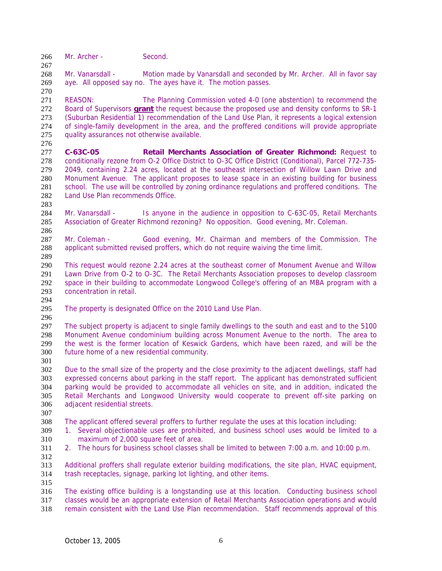266 Mr. Archer - Second.

Mr. Vanarsdall - Motion made by Vanarsdall and seconded by Mr. Archer. All in favor say aye. All opposed say no. The ayes have it. The motion passes.

REASON: The Planning Commission voted 4-0 (one abstention) to recommend the Board of Supervisors **grant** the request because the proposed use and density conforms to SR-1 (Suburban Residential 1) recommendation of the Land Use Plan, it represents a logical extension of single-family development in the area, and the proffered conditions will provide appropriate quality assurances not otherwise available.

**C-63C-05 Retail Merchants Association of Greater Richmond:** Request to conditionally rezone from O-2 Office District to O-3C Office District (Conditional), Parcel 772-735- 2049, containing 2.24 acres, located at the southeast intersection of Willow Lawn Drive and Monument Avenue. The applicant proposes to lease space in an existing building for business school. The use will be controlled by zoning ordinance regulations and proffered conditions. The Land Use Plan recommends Office.

Mr. Vanarsdall - Is anyone in the audience in opposition to C-63C-05, Retail Merchants Association of Greater Richmond rezoning? No opposition. Good evening, Mr. Coleman. 

Mr. Coleman - Good evening, Mr. Chairman and members of the Commission. The applicant submitted revised proffers, which do not require waiving the time limit. 

This request would rezone 2.24 acres at the southeast corner of Monument Avenue and Willow Lawn Drive from O-2 to O-3C. The Retail Merchants Association proposes to develop classroom space in their building to accommodate Longwood College's offering of an MBA program with a concentration in retail.

The property is designated Office on the 2010 Land Use Plan.

The subject property is adjacent to single family dwellings to the south and east and to the 5100 Monument Avenue condominium building across Monument Avenue to the north. The area to the west is the former location of Keswick Gardens, which have been razed, and will be the future home of a new residential community.

Due to the small size of the property and the close proximity to the adjacent dwellings, staff had expressed concerns about parking in the staff report. The applicant has demonstrated sufficient parking would be provided to accommodate all vehicles on site, and in addition, indicated the Retail Merchants and Longwood University would cooperate to prevent off-site parking on adjacent residential streets.

- The applicant offered several proffers to further regulate the uses at this location including:
- 1. Several objectionable uses are prohibited, and business school uses would be limited to a maximum of 2,000 square feet of area.
- 

2. The hours for business school classes shall be limited to between 7:00 a.m. and 10:00 p.m.

Additional proffers shall regulate exterior building modifications, the site plan, HVAC equipment,

trash receptacles, signage, parking lot lighting, and other items. 

The existing office building is a longstanding use at this location. Conducting business school classes would be an appropriate extension of Retail Merchants Association operations and would remain consistent with the Land Use Plan recommendation. Staff recommends approval of this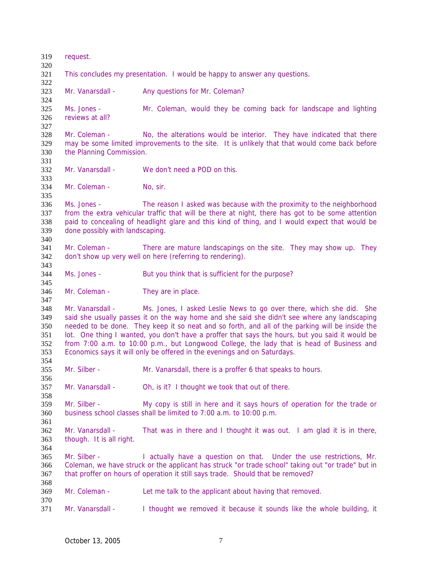request. This concludes my presentation. I would be happy to answer any questions. Mr. Vanarsdall - Any questions for Mr. Coleman? Ms. Jones - Mr. Coleman, would they be coming back for landscape and lighting reviews at all? Mr. Coleman - No, the alterations would be interior. They have indicated that there may be some limited improvements to the site. It is unlikely that that would come back before the Planning Commission. Mr. Vanarsdall - We don't need a POD on this. 334 Mr. Coleman - No, sir. Ms. Jones - The reason I asked was because with the proximity to the neighborhood from the extra vehicular traffic that will be there at night, there has got to be some attention paid to concealing of headlight glare and this kind of thing, and I would expect that would be done possibly with landscaping. Mr. Coleman - There are mature landscapings on the site. They may show up. They don't show up very well on here (referring to rendering). Ms. Jones - But you think that is sufficient for the purpose? 346 Mr. Coleman - They are in place. Mr. Vanarsdall - Ms. Jones, I asked Leslie News to go over there, which she did. She said she usually passes it on the way home and she said she didn't see where any landscaping needed to be done. They keep it so neat and so forth, and all of the parking will be inside the lot. One thing I wanted, you don't have a proffer that says the hours, but you said it would be from 7:00 a.m. to 10:00 p.m., but Longwood College, the lady that is head of Business and Economics says it will only be offered in the evenings and on Saturdays. Mr. Silber - Mr. Vanarsdall, there is a proffer 6 that speaks to hours. Mr. Vanarsdall - Oh, is it? I thought we took that out of there. Mr. Silber - My copy is still in here and it says hours of operation for the trade or business school classes shall be limited to 7:00 a.m. to 10:00 p.m. Mr. Vanarsdall - That was in there and I thought it was out. I am glad it is in there, though. It is all right. Mr. Silber - I actually have a question on that. Under the use restrictions, Mr. Coleman, we have struck or the applicant has struck "or trade school" taking out "or trade" but in that proffer on hours of operation it still says trade. Should that be removed? Mr. Coleman - Let me talk to the applicant about having that removed. Mr. Vanarsdall - I thought we removed it because it sounds like the whole building, it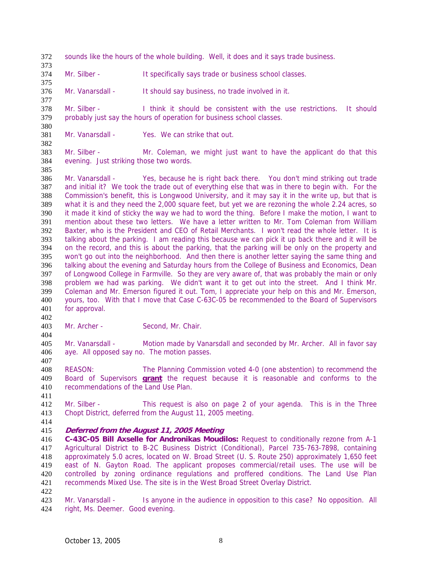- sounds like the hours of the whole building. Well, it does and it says trade business.
- Mr. Silber It specifically says trade or business school classes.
- Mr. Vanarsdall It should say business, no trade involved in it.

Mr. Silber - I think it should be consistent with the use restrictions. It should probably just say the hours of operation for business school classes.

- Mr. Vanarsdall Yes. We can strike that out.
- Mr. Silber Mr. Coleman, we might just want to have the applicant do that this evening. Just striking those two words.

Mr. Vanarsdall - Yes, because he is right back there. You don't mind striking out trade and initial it? We took the trade out of everything else that was in there to begin with. For the Commission's benefit, this is Longwood University, and it may say it in the write up, but that is what it is and they need the 2,000 square feet, but yet we are rezoning the whole 2.24 acres, so it made it kind of sticky the way we had to word the thing. Before I make the motion, I want to mention about these two letters. We have a letter written to Mr. Tom Coleman from William Baxter, who is the President and CEO of Retail Merchants. I won't read the whole letter. It is talking about the parking. I am reading this because we can pick it up back there and it will be on the record, and this is about the parking, that the parking will be only on the property and won't go out into the neighborhood. And then there is another letter saying the same thing and talking about the evening and Saturday hours from the College of Business and Economics, Dean of Longwood College in Farmville. So they are very aware of, that was probably the main or only problem we had was parking. We didn't want it to get out into the street. And I think Mr. Coleman and Mr. Emerson figured it out. Tom, I appreciate your help on this and Mr. Emerson, yours, too. With that I move that Case C-63C-05 be recommended to the Board of Supervisors for approval.

Mr. Archer - Second, Mr. Chair.

Mr. Vanarsdall - Motion made by Vanarsdall and seconded by Mr. Archer. All in favor say aye. All opposed say no. The motion passes. 

REASON: The Planning Commission voted 4-0 (one abstention) to recommend the Board of Supervisors **grant** the request because it is reasonable and conforms to the recommendations of the Land Use Plan.

Mr. Silber - This request is also on page 2 of your agenda. This is in the Three Chopt District, deferred from the August 11, 2005 meeting.

- 
- **Deferred from the August 11, 2005 Meeting**

**C-43C-05 Bill Axselle for Andronikas Moudilos:** Request to conditionally rezone from A-1 Agricultural District to B-2C Business District (Conditional), Parcel 735-763-7898, containing approximately 5.0 acres, located on W. Broad Street (U. S. Route 250) approximately 1,650 feet east of N. Gayton Road. The applicant proposes commercial/retail uses. The use will be controlled by zoning ordinance regulations and proffered conditions. The Land Use Plan recommends Mixed Use. The site is in the West Broad Street Overlay District.

423 Mr. Vanarsdall - Is anyone in the audience in opposition to this case? No opposition. All right, Ms. Deemer. Good evening.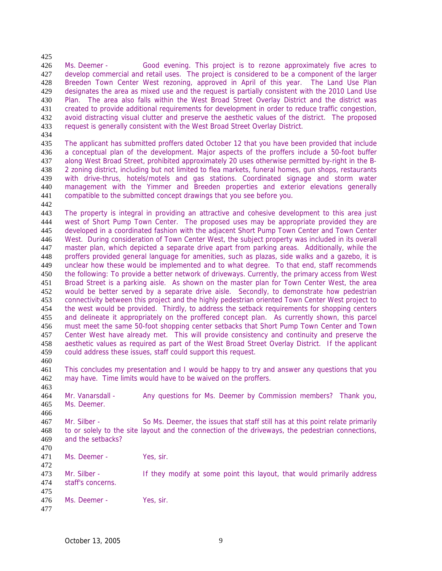Ms. Deemer - Good evening. This project is to rezone approximately five acres to develop commercial and retail uses. The project is considered to be a component of the larger Breeden Town Center West rezoning, approved in April of this year. The Land Use Plan designates the area as mixed use and the request is partially consistent with the 2010 Land Use Plan. The area also falls within the West Broad Street Overlay District and the district was created to provide additional requirements for development in order to reduce traffic congestion, avoid distracting visual clutter and preserve the aesthetic values of the district. The proposed request is generally consistent with the West Broad Street Overlay District.

The applicant has submitted proffers dated October 12 that you have been provided that include a conceptual plan of the development. Major aspects of the proffers include a 50-foot buffer along West Broad Street, prohibited approximately 20 uses otherwise permitted by-right in the B-2 zoning district, including but not limited to flea markets, funeral homes, gun shops, restaurants with drive-thrus, hotels/motels and gas stations. Coordinated signage and storm water management with the Yimmer and Breeden properties and exterior elevations generally compatible to the submitted concept drawings that you see before you.

The property is integral in providing an attractive and cohesive development to this area just west of Short Pump Town Center. The proposed uses may be appropriate provided they are developed in a coordinated fashion with the adjacent Short Pump Town Center and Town Center West. During consideration of Town Center West, the subject property was included in its overall master plan, which depicted a separate drive apart from parking areas. Additionally, while the proffers provided general language for amenities, such as plazas, side walks and a gazebo, it is unclear how these would be implemented and to what degree. To that end, staff recommends the following: To provide a better network of driveways. Currently, the primary access from West Broad Street is a parking aisle. As shown on the master plan for Town Center West, the area would be better served by a separate drive aisle. Secondly, to demonstrate how pedestrian connectivity between this project and the highly pedestrian oriented Town Center West project to the west would be provided. Thirdly, to address the setback requirements for shopping centers and delineate it appropriately on the proffered concept plan. As currently shown, this parcel must meet the same 50-foot shopping center setbacks that Short Pump Town Center and Town Center West have already met. This will provide consistency and continuity and preserve the aesthetic values as required as part of the West Broad Street Overlay District. If the applicant could address these issues, staff could support this request. 

This concludes my presentation and I would be happy to try and answer any questions that you may have. Time limits would have to be waived on the proffers.

Mr. Vanarsdall - Any questions for Ms. Deemer by Commission members? Thank you, Ms. Deemer.

Mr. Silber - So Ms. Deemer, the issues that staff still has at this point relate primarily to or solely to the site layout and the connection of the driveways, the pedestrian connections, and the setbacks? 

471 Ms. Deemer - Yes, sir.

 Mr. Silber - If they modify at some point this layout, that would primarily address staff's concerns. Ms. Deemer - Yes, sir.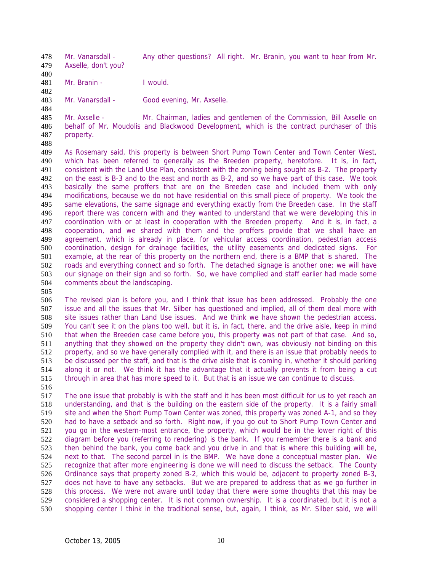Mr. Vanarsdall - Any other questions? All right. Mr. Branin, you want to hear from Mr. Axselle, don't you?

481 Mr. Branin - I would.

Mr. Vanarsdall - Good evening, Mr. Axselle.

Mr. Axselle - Mr. Chairman, ladies and gentlemen of the Commission, Bill Axselle on behalf of Mr. Moudolis and Blackwood Development, which is the contract purchaser of this property.

As Rosemary said, this property is between Short Pump Town Center and Town Center West, which has been referred to generally as the Breeden property, heretofore. It is, in fact, consistent with the Land Use Plan, consistent with the zoning being sought as B-2. The property on the east is B-3 and to the east and north as B-2, and so we have part of this case. We took basically the same proffers that are on the Breeden case and included them with only modifications, because we do not have residential on this small piece of property. We took the same elevations, the same signage and everything exactly from the Breeden case. In the staff report there was concern with and they wanted to understand that we were developing this in coordination with or at least in cooperation with the Breeden property. And it is, in fact, a cooperation, and we shared with them and the proffers provide that we shall have an agreement, which is already in place, for vehicular access coordination, pedestrian access coordination, design for drainage facilities, the utility easements and dedicated signs. For example, at the rear of this property on the northern end, there is a BMP that is shared. The roads and everything connect and so forth. The detached signage is another one; we will have our signage on their sign and so forth. So, we have complied and staff earlier had made some comments about the landscaping.

The revised plan is before you, and I think that issue has been addressed. Probably the one issue and all the issues that Mr. Silber has questioned and implied, all of them deal more with site issues rather than Land Use issues. And we think we have shown the pedestrian access. You can't see it on the plans too well, but it is, in fact, there, and the drive aisle, keep in mind that when the Breeden case came before you, this property was not part of that case. And so, anything that they showed on the property they didn't own, was obviously not binding on this property, and so we have generally complied with it, and there is an issue that probably needs to be discussed per the staff, and that is the drive aisle that is coming in, whether it should parking along it or not. We think it has the advantage that it actually prevents it from being a cut through in area that has more speed to it. But that is an issue we can continue to discuss.

The one issue that probably is with the staff and it has been most difficult for us to yet reach an understanding, and that is the building on the eastern side of the property. It is a fairly small site and when the Short Pump Town Center was zoned, this property was zoned A-1, and so they had to have a setback and so forth. Right now, if you go out to Short Pump Town Center and you go in the western-most entrance, the property, which would be in the lower right of this diagram before you (referring to rendering) is the bank. If you remember there is a bank and then behind the bank, you come back and you drive in and that is where this building will be, next to that. The second parcel in is the BMP. We have done a conceptual master plan. We recognize that after more engineering is done we will need to discuss the setback. The County Ordinance says that property zoned B-2, which this would be, adjacent to property zoned B-3, does not have to have any setbacks. But we are prepared to address that as we go further in this process. We were not aware until today that there were some thoughts that this may be considered a shopping center. It is not common ownership. It is a coordinated, but it is not a shopping center I think in the traditional sense, but, again, I think, as Mr. Silber said, we will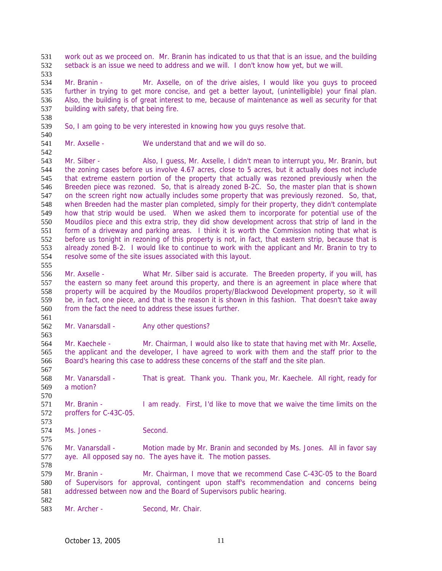work out as we proceed on. Mr. Branin has indicated to us that that is an issue, and the building setback is an issue we need to address and we will. I don't know how yet, but we will.

Mr. Branin - Mr. Axselle, on of the drive aisles, I would like you guys to proceed further in trying to get more concise, and get a better layout, (unintelligible) your final plan. Also, the building is of great interest to me, because of maintenance as well as security for that building with safety, that being fire.

So, I am going to be very interested in knowing how you guys resolve that.

Mr. Axselle - We understand that and we will do so.

543 Mr. Silber - Also, I guess, Mr. Axselle, I didn't mean to interrupt you, Mr. Branin, but the zoning cases before us involve 4.67 acres, close to 5 acres, but it actually does not include that extreme eastern portion of the property that actually was rezoned previously when the Breeden piece was rezoned. So, that is already zoned B-2C. So, the master plan that is shown on the screen right now actually includes some property that was previously rezoned. So, that, when Breeden had the master plan completed, simply for their property, they didn't contemplate how that strip would be used. When we asked them to incorporate for potential use of the Moudilos piece and this extra strip, they did show development across that strip of land in the form of a driveway and parking areas. I think it is worth the Commission noting that what is before us tonight in rezoning of this property is not, in fact, that eastern strip, because that is already zoned B-2. I would like to continue to work with the applicant and Mr. Branin to try to resolve some of the site issues associated with this layout.

Mr. Axselle - What Mr. Silber said is accurate. The Breeden property, if you will, has the eastern so many feet around this property, and there is an agreement in place where that property will be acquired by the Moudilos property/Blackwood Development property, so it will be, in fact, one piece, and that is the reason it is shown in this fashion. That doesn't take away from the fact the need to address these issues further.

562 Mr. Vanarsdall - Any other questions?

Mr. Kaechele - Mr. Chairman, I would also like to state that having met with Mr. Axselle, the applicant and the developer, I have agreed to work with them and the staff prior to the Board's hearing this case to address these concerns of the staff and the site plan.

Mr. Vanarsdall - That is great. Thank you. Thank you, Mr. Kaechele. All right, ready for a motion?

Mr. Branin - I am ready. First, I'd like to move that we waive the time limits on the proffers for C-43C-05.

Ms. Jones - Second.

576 Mr. Vanarsdall - Motion made by Mr. Branin and seconded by Ms. Jones. All in favor say aye. All opposed say no. The ayes have it. The motion passes.

Mr. Branin - Mr. Chairman, I move that we recommend Case C-43C-05 to the Board of Supervisors for approval, contingent upon staff's recommendation and concerns being addressed between now and the Board of Supervisors public hearing. 

583 Mr. Archer - Second, Mr. Chair.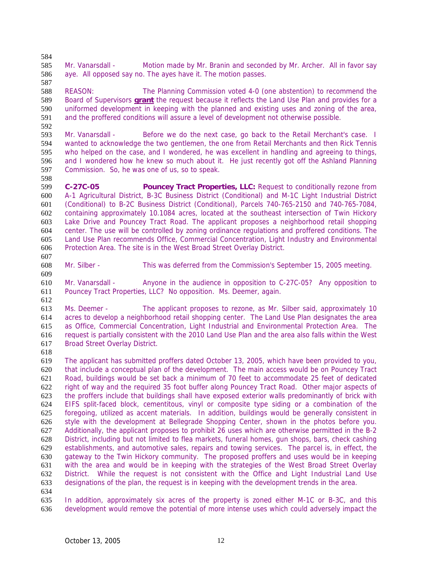Mr. Vanarsdall - Motion made by Mr. Branin and seconded by Mr. Archer. All in favor say aye. All opposed say no. The ayes have it. The motion passes.

REASON: The Planning Commission voted 4-0 (one abstention) to recommend the Board of Supervisors **grant** the request because it reflects the Land Use Plan and provides for a uniformed development in keeping with the planned and existing uses and zoning of the area, and the proffered conditions will assure a level of development not otherwise possible. 

Mr. Vanarsdall - Before we do the next case, go back to the Retail Merchant's case. I wanted to acknowledge the two gentlemen, the one from Retail Merchants and then Rick Tennis who helped on the case, and I wondered, he was excellent in handling and agreeing to things, and I wondered how he knew so much about it. He just recently got off the Ashland Planning Commission. So, he was one of us, so to speak.

**C-27C-05 Pouncey Tract Properties, LLC:** Request to conditionally rezone from A-1 Agricultural District, B-3C Business District (Conditional) and M-1C Light Industrial District (Conditional) to B-2C Business District (Conditional), Parcels 740-765-2150 and 740-765-7084, containing approximately 10.1084 acres, located at the southeast intersection of Twin Hickory Lake Drive and Pouncey Tract Road. The applicant proposes a neighborhood retail shopping center. The use will be controlled by zoning ordinance regulations and proffered conditions. The Land Use Plan recommends Office, Commercial Concentration, Light Industry and Environmental Protection Area. The site is in the West Broad Street Overlay District.

Mr. Silber - This was deferred from the Commission's September 15, 2005 meeting.

Mr. Vanarsdall - Anyone in the audience in opposition to C-27C-05? Any opposition to Pouncey Tract Properties, LLC? No opposition. Ms. Deemer, again.

Ms. Deemer - The applicant proposes to rezone, as Mr. Silber said, approximately 10 acres to develop a neighborhood retail shopping center. The Land Use Plan designates the area as Office, Commercial Concentration, Light Industrial and Environmental Protection Area. The request is partially consistent with the 2010 Land Use Plan and the area also falls within the West Broad Street Overlay District.

The applicant has submitted proffers dated October 13, 2005, which have been provided to you, that include a conceptual plan of the development. The main access would be on Pouncey Tract Road, buildings would be set back a minimum of 70 feet to accommodate 25 feet of dedicated right of way and the required 35 foot buffer along Pouncey Tract Road. Other major aspects of the proffers include that buildings shall have exposed exterior walls predominantly of brick with EIFS split-faced block, cementitous, vinyl or composite type siding or a combination of the foregoing, utilized as accent materials. In addition, buildings would be generally consistent in style with the development at Bellegrade Shopping Center, shown in the photos before you. Additionally, the applicant proposes to prohibit 26 uses which are otherwise permitted in the B-2 District, including but not limited to flea markets, funeral homes, gun shops, bars, check cashing establishments, and automotive sales, repairs and towing services. The parcel is, in effect, the gateway to the Twin Hickory community. The proposed proffers and uses would be in keeping with the area and would be in keeping with the strategies of the West Broad Street Overlay District. While the request is not consistent with the Office and Light Industrial Land Use designations of the plan, the request is in keeping with the development trends in the area.

In addition, approximately six acres of the property is zoned either M-1C or B-3C, and this development would remove the potential of more intense uses which could adversely impact the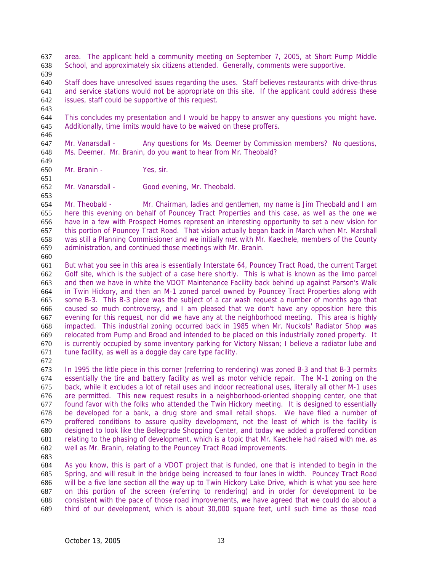area. The applicant held a community meeting on September 7, 2005, at Short Pump Middle School, and approximately six citizens attended. Generally, comments were supportive.

Staff does have unresolved issues regarding the uses. Staff believes restaurants with drive-thrus and service stations would not be appropriate on this site. If the applicant could address these issues, staff could be supportive of this request. 

This concludes my presentation and I would be happy to answer any questions you might have. Additionally, time limits would have to be waived on these proffers.

Mr. Vanarsdall - Any questions for Ms. Deemer by Commission members? No questions, Ms. Deemer. Mr. Branin, do you want to hear from Mr. Theobald?

- Mr. Branin Yes, sir.
- 

Mr. Vanarsdall - Good evening, Mr. Theobald. 

Mr. Theobald - Mr. Chairman, ladies and gentlemen, my name is Jim Theobald and I am here this evening on behalf of Pouncey Tract Properties and this case, as well as the one we have in a few with Prospect Homes represent an interesting opportunity to set a new vision for this portion of Pouncey Tract Road. That vision actually began back in March when Mr. Marshall was still a Planning Commissioner and we initially met with Mr. Kaechele, members of the County administration, and continued those meetings with Mr. Branin.

But what you see in this area is essentially Interstate 64, Pouncey Tract Road, the current Target Golf site, which is the subject of a case here shortly. This is what is known as the limo parcel and then we have in white the VDOT Maintenance Facility back behind up against Parson's Walk in Twin Hickory, and then an M-1 zoned parcel owned by Pouncey Tract Properties along with some B-3. This B-3 piece was the subject of a car wash request a number of months ago that caused so much controversy, and I am pleased that we don't have any opposition here this evening for this request, nor did we have any at the neighborhood meeting. This area is highly impacted. This industrial zoning occurred back in 1985 when Mr. Nuckols' Radiator Shop was relocated from Pump and Broad and intended to be placed on this industrially zoned property. It is currently occupied by some inventory parking for Victory Nissan; I believe a radiator lube and tune facility, as well as a doggie day care type facility.

In 1995 the little piece in this corner (referring to rendering) was zoned B-3 and that B-3 permits essentially the tire and battery facility as well as motor vehicle repair. The M-1 zoning on the back, while it excludes a lot of retail uses and indoor recreational uses, literally all other M-1 uses are permitted. This new request results in a neighborhood-oriented shopping center, one that found favor with the folks who attended the Twin Hickory meeting. It is designed to essentially be developed for a bank, a drug store and small retail shops. We have filed a number of proffered conditions to assure quality development, not the least of which is the facility is designed to look like the Bellegrade Shopping Center, and today we added a proffered condition relating to the phasing of development, which is a topic that Mr. Kaechele had raised with me, as well as Mr. Branin, relating to the Pouncey Tract Road improvements.

As you know, this is part of a VDOT project that is funded, one that is intended to begin in the Spring, and will result in the bridge being increased to four lanes in width. Pouncey Tract Road will be a five lane section all the way up to Twin Hickory Lake Drive, which is what you see here on this portion of the screen (referring to rendering) and in order for development to be consistent with the pace of those road improvements, we have agreed that we could do about a third of our development, which is about 30,000 square feet, until such time as those road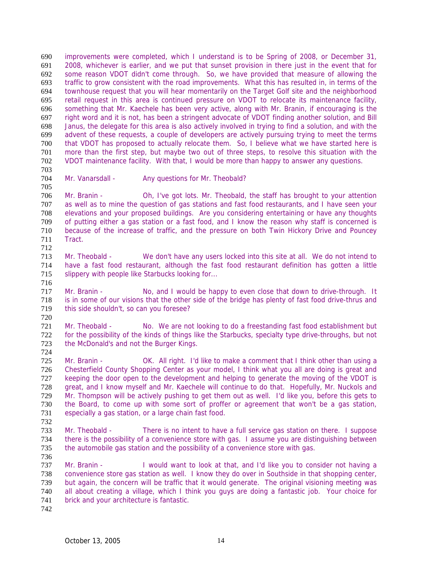improvements were completed, which I understand is to be Spring of 2008, or December 31, 2008, whichever is earlier, and we put that sunset provision in there just in the event that for some reason VDOT didn't come through. So, we have provided that measure of allowing the traffic to grow consistent with the road improvements. What this has resulted in, in terms of the townhouse request that you will hear momentarily on the Target Golf site and the neighborhood retail request in this area is continued pressure on VDOT to relocate its maintenance facility, something that Mr. Kaechele has been very active, along with Mr. Branin, if encouraging is the right word and it is not, has been a stringent advocate of VDOT finding another solution, and Bill Janus, the delegate for this area is also actively involved in trying to find a solution, and with the advent of these requests, a couple of developers are actively pursuing trying to meet the terms that VDOT has proposed to actually relocate them. So, I believe what we have started here is more than the first step, but maybe two out of three steps, to resolve this situation with the VDOT maintenance facility. With that, I would be more than happy to answer any questions.

Mr. Vanarsdall - Any questions for Mr. Theobald?

Mr. Branin - Oh, I've got lots. Mr. Theobald, the staff has brought to your attention as well as to mine the question of gas stations and fast food restaurants, and I have seen your elevations and your proposed buildings. Are you considering entertaining or have any thoughts of putting either a gas station or a fast food, and I know the reason why staff is concerned is because of the increase of traffic, and the pressure on both Twin Hickory Drive and Pouncey Tract. 

- Mr. Theobald We don't have any users locked into this site at all. We do not intend to have a fast food restaurant, although the fast food restaurant definition has gotten a little 715 slippery with people like Starbucks looking for...
- 717 Mr. Branin No, and I would be happy to even close that down to drive-through. It is in some of our visions that the other side of the bridge has plenty of fast food drive-thrus and this side shouldn't, so can you foresee?
- Mr. Theobald No. We are not looking to do a freestanding fast food establishment but for the possibility of the kinds of things like the Starbucks, specialty type drive-throughs, but not the McDonald's and not the Burger Kings.
- 725 Mr. Branin OK. All right. I'd like to make a comment that I think other than using a Chesterfield County Shopping Center as your model, I think what you all are doing is great and keeping the door open to the development and helping to generate the moving of the VDOT is great, and I know myself and Mr. Kaechele will continue to do that. Hopefully, Mr. Nuckols and Mr. Thompson will be actively pushing to get them out as well. I'd like you, before this gets to the Board, to come up with some sort of proffer or agreement that won't be a gas station, especially a gas station, or a large chain fast food.
- 
- Mr. Theobald There is no intent to have a full service gas station on there. I suppose there is the possibility of a convenience store with gas. I assume you are distinguishing between the automobile gas station and the possibility of a convenience store with gas.
- Mr. Branin - I would want to look at that, and I'd like you to consider not having a convenience store gas station as well. I know they do over in Southside in that shopping center, but again, the concern will be traffic that it would generate. The original visioning meeting was all about creating a village, which I think you guys are doing a fantastic job. Your choice for brick and your architecture is fantastic.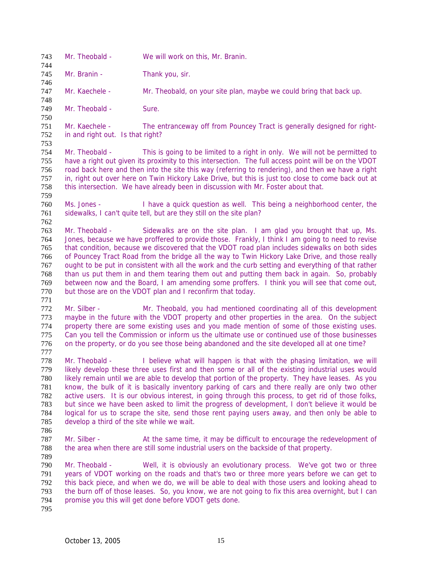Mr. Theobald - We will work on this, Mr. Branin.

745 Mr. Branin - Thank you, sir.

Mr. Kaechele - Mr. Theobald, on your site plan, maybe we could bring that back up.

749 Mr. Theobald - Sure.

Mr. Kaechele - The entranceway off from Pouncey Tract is generally designed for right-in and right out. Is that right?

Mr. Theobald - This is going to be limited to a right in only. We will not be permitted to have a right out given its proximity to this intersection. The full access point will be on the VDOT 756 road back here and then into the site this way (referring to rendering), and then we have a right 757 in, right out over here on Twin Hickory Lake Drive, but this is just too close to come back out at in, right out over here on Twin Hickory Lake Drive, but this is just too close to come back out at this intersection. We have already been in discussion with Mr. Foster about that.

Ms. Jones - I have a quick question as well. This being a neighborhood center, the 761 sidewalks, I can't quite tell, but are they still on the site plan? 

Mr. Theobald - Sidewalks are on the site plan. I am glad you brought that up, Ms. Jones, because we have proffered to provide those. Frankly, I think I am going to need to revise that condition, because we discovered that the VDOT road plan includes sidewalks on both sides of Pouncey Tract Road from the bridge all the way to Twin Hickory Lake Drive, and those really ought to be put in consistent with all the work and the curb setting and everything of that rather than us put them in and them tearing them out and putting them back in again. So, probably between now and the Board, I am amending some proffers. I think you will see that come out, but those are on the VDOT plan and I reconfirm that today.

Mr. Silber - Mr. Theobald, you had mentioned coordinating all of this development maybe in the future with the VDOT property and other properties in the area. On the subject property there are some existing uses and you made mention of some of those existing uses. Can you tell the Commission or inform us the ultimate use or continued use of those businesses on the property, or do you see those being abandoned and the site developed all at one time? 

778 Mr. Theobald - I believe what will happen is that with the phasing limitation, we will likely develop these three uses first and then some or all of the existing industrial uses would likely remain until we are able to develop that portion of the property. They have leases. As you know, the bulk of it is basically inventory parking of cars and there really are only two other active users. It is our obvious interest, in going through this process, to get rid of those folks, but since we have been asked to limit the progress of development, I don't believe it would be logical for us to scrape the site, send those rent paying users away, and then only be able to develop a third of the site while we wait.

787 Mr. Silber - At the same time, it may be difficult to encourage the redevelopment of the area when there are still some industrial users on the backside of that property.

Mr. Theobald - Well, it is obviously an evolutionary process. We've got two or three years of VDOT working on the roads and that's two or three more years before we can get to this back piece, and when we do, we will be able to deal with those users and looking ahead to the burn off of those leases. So, you know, we are not going to fix this area overnight, but I can promise you this will get done before VDOT gets done.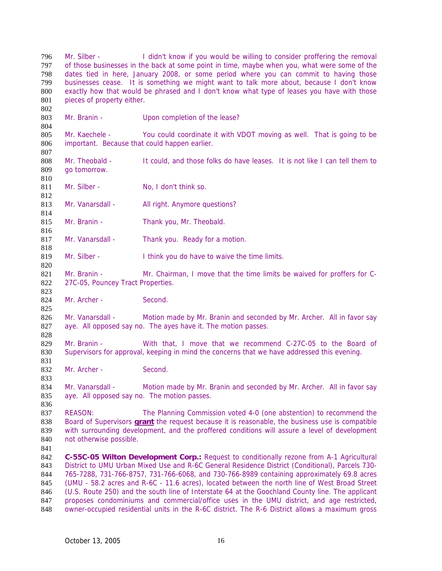Mr. Silber - I didn't know if you would be willing to consider proffering the removal of those businesses in the back at some point in time, maybe when you, what were some of the dates tied in here, January 2008, or some period where you can commit to having those businesses cease. It is something we might want to talk more about, because I don't know exactly how that would be phrased and I don't know what type of leases you have with those 801 pieces of property either. 803 Mr. Branin - Upon completion of the lease? Mr. Kaechele - You could coordinate it with VDOT moving as well. That is going to be important. Because that could happen earlier. 808 Mr. Theobald - It could, and those folks do have leases. It is not like I can tell them to go tomorrow. 811 Mr. Silber - No, I don't think so. 813 Mr. Vanarsdall - All right. Anymore questions? 815 Mr. Branin - Thank you, Mr. Theobald. 817 Mr. Vanarsdall - Thank you. Ready for a motion. 819 Mr. Silber - I think you do have to waive the time limits. 821 Mr. Branin - Mr. Chairman, I move that the time limits be waived for proffers for C-27C-05, Pouncey Tract Properties. 824 Mr. Archer - Second. 826 Mr. Vanarsdall - Motion made by Mr. Branin and seconded by Mr. Archer. All in favor say aye. All opposed say no. The ayes have it. The motion passes. 829 Mr. Branin - With that, I move that we recommend C-27C-05 to the Board of Supervisors for approval, keeping in mind the concerns that we have addressed this evening. 832 Mr. Archer - Second. 834 Mr. Vanarsdall - Motion made by Mr. Branin and seconded by Mr. Archer. All in favor say aye. All opposed say no. The motion passes. REASON: The Planning Commission voted 4-0 (one abstention) to recommend the Board of Supervisors **grant** the request because it is reasonable, the business use is compatible with surrounding development, and the proffered conditions will assure a level of development not otherwise possible. **C-55C-05 Wilton Development Corp.:** Request to conditionally rezone from A-1 Agricultural District to UMU Urban Mixed Use and R-6C General Residence District (Conditional), Parcels 730- 765-7288, 731-766-8757, 731-766-6068, and 730-766-8989 containing approximately 69.8 acres (UMU - 58.2 acres and R-6C - 11.6 acres), located between the north line of West Broad Street (U.S. Route 250) and the south line of Interstate 64 at the Goochland County line. The applicant proposes condominiums and commercial/office uses in the UMU district, and age restricted, owner-occupied residential units in the R-6C district. The R-6 District allows a maximum gross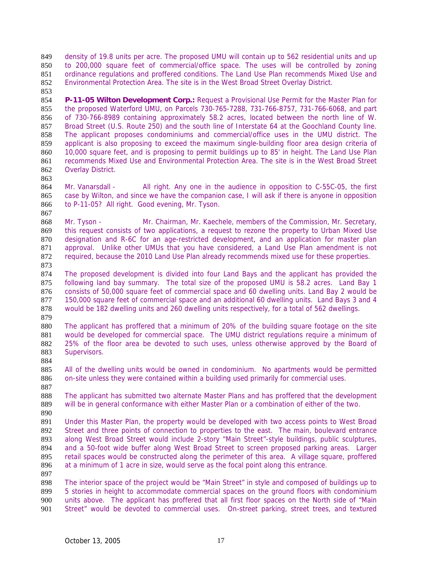density of 19.8 units per acre. The proposed UMU will contain up to 562 residential units and up to 200,000 square feet of commercial/office space. The uses will be controlled by zoning ordinance regulations and proffered conditions. The Land Use Plan recommends Mixed Use and Environmental Protection Area. The site is in the West Broad Street Overlay District.

**P-11-05 Wilton Development Corp.:** Request a Provisional Use Permit for the Master Plan for the proposed Waterford UMU, on Parcels 730-765-7288, 731-766-8757, 731-766-6068, and part of 730-766-8989 containing approximately 58.2 acres, located between the north line of W. Broad Street (U.S. Route 250) and the south line of Interstate 64 at the Goochland County line. The applicant proposes condominiums and commercial/office uses in the UMU district. The applicant is also proposing to exceed the maximum single-building floor area design criteria of 10,000 square feet, and is proposing to permit buildings up to 85' in height. The Land Use Plan recommends Mixed Use and Environmental Protection Area. The site is in the West Broad Street Overlay District.

864 Mr. Vanarsdall - All right. Any one in the audience in opposition to C-55C-05, the first case by Wilton, and since we have the companion case, I will ask if there is anyone in opposition to P-11-05? All right. Good evening, Mr. Tyson.

868 Mr. Tyson - Mr. Chairman, Mr. Kaechele, members of the Commission, Mr. Secretary, this request consists of two applications, a request to rezone the property to Urban Mixed Use designation and R-6C for an age-restricted development, and an application for master plan approval. Unlike other UMUs that you have considered, a Land Use Plan amendment is not required, because the 2010 Land Use Plan already recommends mixed use for these properties.

The proposed development is divided into four Land Bays and the applicant has provided the following land bay summary. The total size of the proposed UMU is 58.2 acres. Land Bay 1 consists of 50,000 square feet of commercial space and 60 dwelling units. Land Bay 2 would be 150,000 square feet of commercial space and an additional 60 dwelling units. Land Bays 3 and 4 would be 182 dwelling units and 260 dwelling units respectively, for a total of 562 dwellings. 

The applicant has proffered that a minimum of 20% of the building square footage on the site 881 would be developed for commercial space. The UMU district regulations require a minimum of 25% of the floor area be devoted to such uses, unless otherwise approved by the Board of Supervisors.

All of the dwelling units would be owned in condominium. No apartments would be permitted on-site unless they were contained within a building used primarily for commercial uses.

The applicant has submitted two alternate Master Plans and has proffered that the development will be in general conformance with either Master Plan or a combination of either of the two.

 Under this Master Plan, the property would be developed with two access points to West Broad Street and three points of connection to properties to the east. The main, boulevard entrance along West Broad Street would include 2-story "Main Street"-style buildings, public sculptures, and a 50-foot wide buffer along West Broad Street to screen proposed parking areas. Larger retail spaces would be constructed along the perimeter of this area. A village square, proffered at a minimum of 1 acre in size, would serve as the focal point along this entrance.

The interior space of the project would be "Main Street" in style and composed of buildings up to 5 stories in height to accommodate commercial spaces on the ground floors with condominium units above. The applicant has proffered that all first floor spaces on the North side of "Main Street" would be devoted to commercial uses. On-street parking, street trees, and textured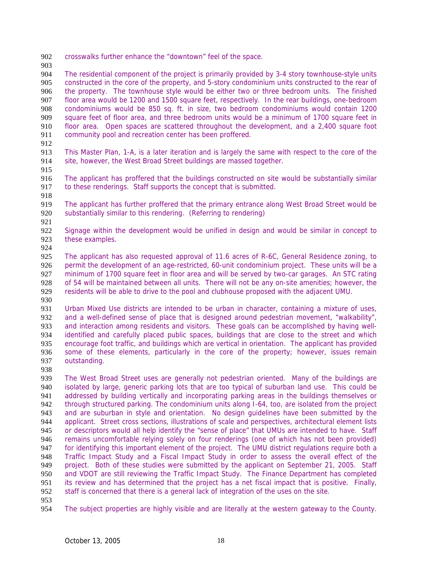- crosswalks further enhance the "downtown" feel of the space.
- 

The residential component of the project is primarily provided by 3-4 story townhouse-style units constructed in the core of the property, and 5-story condominium units constructed to the rear of the property. The townhouse style would be either two or three bedroom units. The finished floor area would be 1200 and 1500 square feet, respectively. In the rear buildings, one-bedroom condominiums would be 850 sq. ft. in size, two bedroom condominiums would contain 1200 square feet of floor area, and three bedroom units would be a minimum of 1700 square feet in 910 floor area. Open spaces are scattered throughout the development, and a 2,400 square foot community pool and recreation center has been proffered. community pool and recreation center has been proffered.

This Master Plan, 1-A, is a later iteration and is largely the same with respect to the core of the site, however, the West Broad Street buildings are massed together.

915<br>916

The applicant has proffered that the buildings constructed on site would be substantially similar 917 to these renderings. Staff supports the concept that is submitted.

The applicant has further proffered that the primary entrance along West Broad Street would be substantially similar to this rendering. (Referring to rendering) 

Signage within the development would be unified in design and would be similar in concept to these examples.

The applicant has also requested approval of 11.6 acres of R-6C, General Residence zoning, to permit the development of an age-restricted, 60-unit condominium project. These units will be a minimum of 1700 square feet in floor area and will be served by two-car garages. An STC rating of 54 will be maintained between all units. There will not be any on-site amenities; however, the residents will be able to drive to the pool and clubhouse proposed with the adjacent UMU.

Urban Mixed Use districts are intended to be urban in character, containing a mixture of uses, and a well-defined sense of place that is designed around pedestrian movement, "walkability", and interaction among residents and visitors. These goals can be accomplished by having well-identified and carefully placed public spaces, buildings that are close to the street and which encourage foot traffic, and buildings which are vertical in orientation. The applicant has provided some of these elements, particularly in the core of the property; however, issues remain outstanding.

The West Broad Street uses are generally not pedestrian oriented. Many of the buildings are isolated by large, generic parking lots that are too typical of suburban land use. This could be addressed by building vertically and incorporating parking areas in the buildings themselves or 942 through structured parking. The condominium units along I-64, too, are isolated from the project and are suburban in style and orientation. No design guidelines have been submitted by the applicant. Street cross sections, illustrations of scale and perspectives, architectural element lists or descriptors would all help identify the "sense of place" that UMUs are intended to have. Staff remains uncomfortable relying solely on four renderings (one of which has not been provided) 947 for identifying this important element of the project. The UMU district regulations require both a Traffic Impact Study and a Fiscal Impact Study in order to assess the overall effect of the project. Both of these studies were submitted by the applicant on September 21, 2005. Staff and VDOT are still reviewing the Traffic Impact Study. The Finance Department has completed its review and has determined that the project has a net fiscal impact that is positive. Finally, staff is concerned that there is a general lack of integration of the uses on the site.

The subject properties are highly visible and are literally at the western gateway to the County.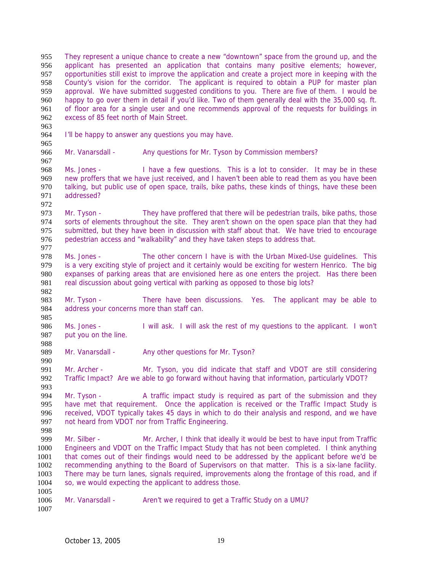They represent a unique chance to create a new "downtown" space from the ground up, and the applicant has presented an application that contains many positive elements; however, opportunities still exist to improve the application and create a project more in keeping with the County's vision for the corridor. The applicant is required to obtain a PUP for master plan approval. We have submitted suggested conditions to you. There are five of them. I would be happy to go over them in detail if you'd like. Two of them generally deal with the 35,000 sq. ft. of floor area for a single user and one recommends approval of the requests for buildings in excess of 85 feet north of Main Street.

 

I'll be happy to answer any questions you may have.

Mr. Vanarsdall - Any questions for Mr. Tyson by Commission members?

968 Ms. Jones - I have a few questions. This is a lot to consider. It may be in these<br>969 new proffers that we have just received, and I haven't been able to read them as you have been new proffers that we have just received, and I haven't been able to read them as you have been talking, but public use of open space, trails, bike paths, these kinds of things, have these been addressed?

Mr. Tyson - They have proffered that there will be pedestrian trails, bike paths, those sorts of elements throughout the site. They aren't shown on the open space plan that they had submitted, but they have been in discussion with staff about that. We have tried to encourage pedestrian access and "walkability" and they have taken steps to address that. 

Ms. Jones - The other concern I have is with the Urban Mixed-Use guidelines. This is a very exciting style of project and it certainly would be exciting for western Henrico. The big expanses of parking areas that are envisioned here as one enters the project. Has there been real discussion about going vertical with parking as opposed to those big lots?

Mr. Tyson - There have been discussions. Yes. The applicant may be able to address your concerns more than staff can.

Ms. Jones - I will ask. I will ask the rest of my questions to the applicant. I won't put you on the line.

989 Mr. Vanarsdall - Any other questions for Mr. Tyson?

Mr. Archer - Mr. Tyson, you did indicate that staff and VDOT are still considering Traffic Impact? Are we able to go forward without having that information, particularly VDOT?

Mr. Tyson - A traffic impact study is required as part of the submission and they have met that requirement. Once the application is received or the Traffic Impact Study is received, VDOT typically takes 45 days in which to do their analysis and respond, and we have not heard from VDOT nor from Traffic Engineering.

Mr. Silber - Mr. Archer, I think that ideally it would be best to have input from Traffic Engineers and VDOT on the Traffic Impact Study that has not been completed. I think anything that comes out of their findings would need to be addressed by the applicant before we'd be recommending anything to the Board of Supervisors on that matter. This is a six-lane facility. There may be turn lanes, signals required, improvements along the frontage of this road, and if so, we would expecting the applicant to address those. 

- 1006 Mr. Vanarsdall Aren't we required to get a Traffic Study on a UMU?
-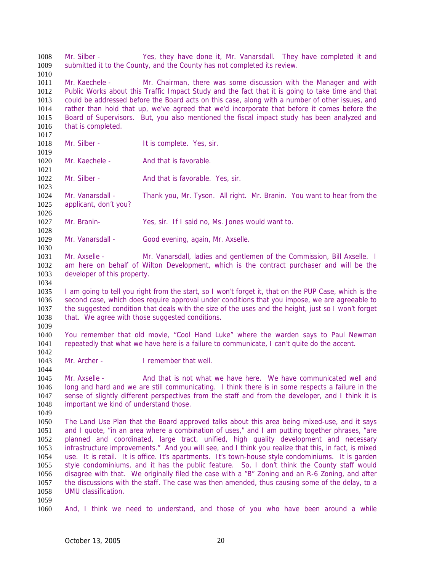Mr. Silber - Yes, they have done it, Mr. Vanarsdall. They have completed it and submitted it to the County, and the County has not completed its review. Mr. Kaechele - Mr. Chairman, there was some discussion with the Manager and with Public Works about this Traffic Impact Study and the fact that it is going to take time and that could be addressed before the Board acts on this case, along with a number of other issues, and rather than hold that up, we've agreed that we'd incorporate that before it comes before the Board of Supervisors. But, you also mentioned the fiscal impact study has been analyzed and 1016 that is completed. 1018 Mr. Silber - It is complete. Yes, sir. 1020 Mr. Kaechele - And that is favorable 1021<br>1022 Mr. Silber - And that is favorable. Yes, sir. Mr. Vanarsdall - Thank you, Mr. Tyson. All right. Mr. Branin. You want to hear from the applicant, don't you? Mr. Branin- Yes, sir. If I said no, Ms. Jones would want to. 1029 Mr. Vanarsdall - Good evening, again, Mr. Axselle. Mr. Axselle - Mr. Vanarsdall, ladies and gentlemen of the Commission, Bill Axselle. I am here on behalf of Wilton Development, which is the contract purchaser and will be the developer of this property. I am going to tell you right from the start, so I won't forget it, that on the PUP Case, which is the second case, which does require approval under conditions that you impose, we are agreeable to the suggested condition that deals with the size of the uses and the height, just so I won't forget that. We agree with those suggested conditions. You remember that old movie, "Cool Hand Luke" where the warden says to Paul Newman repeatedly that what we have here is a failure to communicate, I can't quite do the accent. Mr. Archer - I remember that well. 1044<br>1045 Mr. Axselle - And that is not what we have here. We have communicated well and long and hard and we are still communicating. I think there is in some respects a failure in the sense of slightly different perspectives from the staff and from the developer, and I think it is important we kind of understand those. The Land Use Plan that the Board approved talks about this area being mixed-use, and it says 1051 and I quote, "in an area where a combination of uses," and I am putting together phrases, "are planned and coordinated, large tract, unified, high quality development and necessary 1053 infrastructure improvements." And you will see, and I think you realize that this, in fact, is mixed<br>1054 use. It is retail. It is office. It's apartments. It's town-house style condominiums. It is garden use. It is retail. It is office. It's apartments. It's town-house style condominiums. It is garden style condominiums, and it has the public feature. So, I don't think the County staff would disagree with that. We originally filed the case with a "B" Zoning and an R-6 Zoning, and after the discussions with the staff. The case was then amended, thus causing some of the delay, to a UMU classification. And, I think we need to understand, and those of you who have been around a while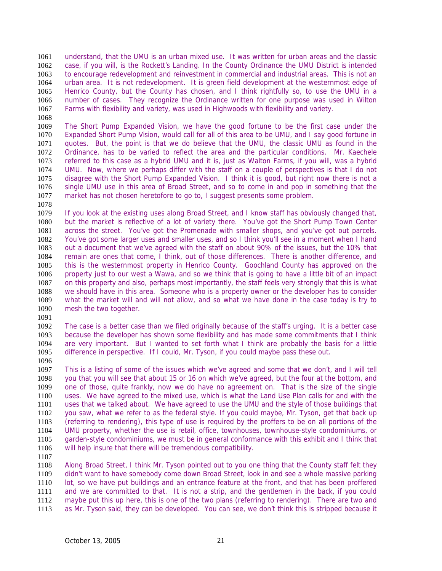understand, that the UMU is an urban mixed use. It was written for urban areas and the classic case, if you will, is the Rockett's Landing. In the County Ordinance the UMU District is intended to encourage redevelopment and reinvestment in commercial and industrial areas. This is not an urban area. It is not redevelopment. It is green field development at the westernmost edge of Henrico County, but the County has chosen, and I think rightfully so, to use the UMU in a number of cases. They recognize the Ordinance written for one purpose was used in Wilton Farms with flexibility and variety, was used in Highwoods with flexibility and variety. 

The Short Pump Expanded Vision, we have the good fortune to be the first case under the Expanded Short Pump Vision, would call for all of this area to be UMU, and I say good fortune in quotes. But, the point is that we do believe that the UMU, the classic UMU as found in the Ordinance, has to be varied to reflect the area and the particular conditions. Mr. Kaechele referred to this case as a hybrid UMU and it is, just as Walton Farms, if you will, was a hybrid 1074 UMU. Now, where we perhaps differ with the staff on a couple of perspectives is that I do not 1075 disagree with the Short Pump Expanded Vision. I think it is good, but right now there is not a disagree with the Short Pump Expanded Vision. I think it is good, but right now there is not a single UMU use in this area of Broad Street, and so to come in and pop in something that the market has not chosen heretofore to go to, I suggest presents some problem.

If you look at the existing uses along Broad Street, and I know staff has obviously changed that, but the market is reflective of a lot of variety there. You've got the Short Pump Town Center across the street. You've got the Promenade with smaller shops, and you've got out parcels. You've got some larger uses and smaller uses, and so I think you'll see in a moment when I hand out a document that we've agreed with the staff on about 90% of the issues, but the 10% that remain are ones that come, I think, out of those differences. There is another difference, and this is the westernmost property in Henrico County. Goochland County has approved on the property just to our west a Wawa, and so we think that is going to have a little bit of an impact on this property and also, perhaps most importantly, the staff feels very strongly that this is what we should have in this area. Someone who is a property owner or the developer has to consider what the market will and will not allow, and so what we have done in the case today is try to mesh the two together.

The case is a better case than we filed originally because of the staff's urging. It is a better case because the developer has shown some flexibility and has made some commitments that I think are very important. But I wanted to set forth what I think are probably the basis for a little difference in perspective. If I could, Mr. Tyson, if you could maybe pass these out.

This is a listing of some of the issues which we've agreed and some that we don't, and I will tell you that you will see that about 15 or 16 on which we've agreed, but the four at the bottom, and one of those, quite frankly, now we do have no agreement on. That is the size of the single uses. We have agreed to the mixed use, which is what the Land Use Plan calls for and with the uses that we talked about. We have agreed to use the UMU and the style of those buildings that you saw, what we refer to as the federal style. If you could maybe, Mr. Tyson, get that back up (referring to rendering), this type of use is required by the proffers to be on all portions of the UMU property, whether the use is retail, office, townhouses, townhouse-style condominiums, or garden-style condominiums, we must be in general conformance with this exhibit and I think that will help insure that there will be tremendous compatibility.

Along Broad Street, I think Mr. Tyson pointed out to you one thing that the County staff felt they didn't want to have somebody come down Broad Street, look in and see a whole massive parking lot, so we have put buildings and an entrance feature at the front, and that has been proffered and we are committed to that. It is not a strip, and the gentlemen in the back, if you could maybe put this up here, this is one of the two plans (referring to rendering). There are two and as Mr. Tyson said, they can be developed. You can see, we don't think this is stripped because it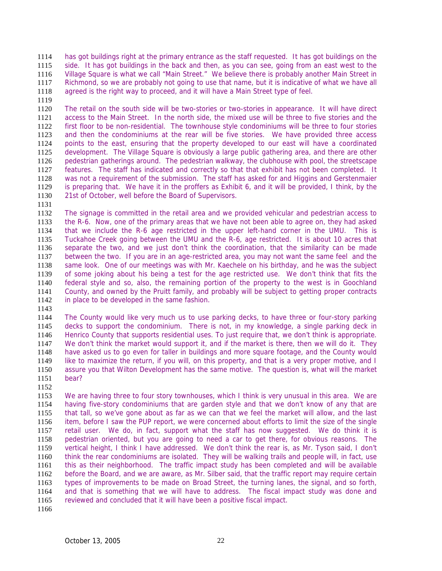has got buildings right at the primary entrance as the staff requested. It has got buildings on the side. It has got buildings in the back and then, as you can see, going from an east west to the Village Square is what we call "Main Street." We believe there is probably another Main Street in Richmond, so we are probably not going to use that name, but it is indicative of what we have all agreed is the right way to proceed, and it will have a Main Street type of feel.

The retail on the south side will be two-stories or two-stories in appearance. It will have direct access to the Main Street. In the north side, the mixed use will be three to five stories and the first floor to be non-residential. The townhouse style condominiums will be three to four stories and then the condominiums at the rear will be five stories. We have provided three access points to the east, ensuring that the property developed to our east will have a coordinated development. The Village Square is obviously a large public gathering area, and there are other pedestrian gatherings around. The pedestrian walkway, the clubhouse with pool, the streetscape 1127 features. The staff has indicated and correctly so that that exhibit has not been completed. It<br>1128 was not a requirement of the submission. The staff has asked for and Higgins and Gerstenmaier was not a requirement of the submission. The staff has asked for and Higgins and Gerstenmaier is preparing that. We have it in the proffers as Exhibit 6, and it will be provided, I think, by the 21st of October, well before the Board of Supervisors.

The signage is committed in the retail area and we provided vehicular and pedestrian access to the R-6. Now, one of the primary areas that we have not been able to agree on, they had asked that we include the R-6 age restricted in the upper left-hand corner in the UMU. This is Tuckahoe Creek going between the UMU and the R-6, age restricted. It is about 10 acres that separate the two, and we just don't think the coordination, that the similarity can be made between the two. If you are in an age-restricted area, you may not want the same feel and the same look. One of our meetings was with Mr. Kaechele on his birthday, and he was the subject of some joking about his being a test for the age restricted use. We don't think that fits the federal style and so, also, the remaining portion of the property to the west is in Goochland County, and owned by the Pruitt family, and probably will be subject to getting proper contracts in place to be developed in the same fashion.

The County would like very much us to use parking decks, to have three or four-story parking decks to support the condominium. There is not, in my knowledge, a single parking deck in Henrico County that supports residential uses. To just require that, we don't think is appropriate. We don't think the market would support it, and if the market is there, then we will do it. They have asked us to go even for taller in buildings and more square footage, and the County would like to maximize the return, if you will, on this property, and that is a very proper motive, and I assure you that Wilton Development has the same motive. The question is, what will the market bear?

We are having three to four story townhouses, which I think is very unusual in this area. We are having five-story condominiums that are garden style and that we don't know of any that are that tall, so we've gone about as far as we can that we feel the market will allow, and the last item, before I saw the PUP report, we were concerned about efforts to limit the size of the single retail user. We do, in fact, support what the staff has now suggested. We do think it is pedestrian oriented, but you are going to need a car to get there, for obvious reasons. The vertical height, I think I have addressed. We don't think the rear is, as Mr. Tyson said, I don't think the rear condominiums are isolated. They will be walking trails and people will, in fact, use this as their neighborhood. The traffic impact study has been completed and will be available before the Board, and we are aware, as Mr. Silber said, that the traffic report may require certain types of improvements to be made on Broad Street, the turning lanes, the signal, and so forth, and that is something that we will have to address. The fiscal impact study was done and reviewed and concluded that it will have been a positive fiscal impact.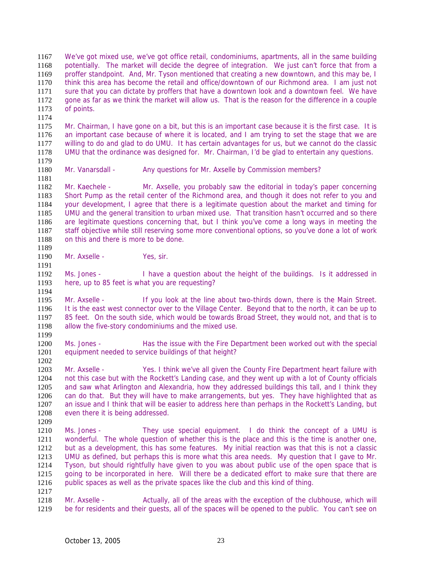We've got mixed use, we've got office retail, condominiums, apartments, all in the same building potentially. The market will decide the degree of integration. We just can't force that from a proffer standpoint. And, Mr. Tyson mentioned that creating a new downtown, and this may be, I think this area has become the retail and office/downtown of our Richmond area. I am just not sure that you can dictate by proffers that have a downtown look and a downtown feel. We have gone as far as we think the market will allow us. That is the reason for the difference in a couple of points.

Mr. Chairman, I have gone on a bit, but this is an important case because it is the first case. It is an important case because of where it is located, and I am trying to set the stage that we are willing to do and glad to do UMU. It has certain advantages for us, but we cannot do the classic UMU that the ordinance was designed for. Mr. Chairman, I'd be glad to entertain any questions. 

Mr. Vanarsdall - Any questions for Mr. Axselle by Commission members?

Mr. Kaechele - Mr. Axselle, you probably saw the editorial in today's paper concerning Short Pump as the retail center of the Richmond area, and though it does not refer to you and your development, I agree that there is a legitimate question about the market and timing for UMU and the general transition to urban mixed use. That transition hasn't occurred and so there are legitimate questions concerning that, but I think you've come a long ways in meeting the staff objective while still reserving some more conventional options, so you've done a lot of work on this and there is more to be done. 

1190 Mr. Axselle - Yes, sir.

Ms. Jones - I have a question about the height of the buildings. Is it addressed in here, up to 85 feet is what you are requesting?

Mr. Axselle - If you look at the line about two-thirds down, there is the Main Street. It is the east west connector over to the Village Center. Beyond that to the north, it can be up to 85 feet. On the south side, which would be towards Broad Street, they would not, and that is to allow the five-story condominiums and the mixed use. 

Ms. Jones - Has the issue with the Fire Department been worked out with the special equipment needed to service buildings of that height?

1203 Mr. Axselle - Yes. I think we've all given the County Fire Department heart failure with not this case but with the Rockett's Landing case, and they went up with a lot of County officials and saw what Arlington and Alexandria, how they addressed buildings this tall, and I think they can do that. But they will have to make arrangements, but yes. They have highlighted that as an issue and I think that will be easier to address here than perhaps in the Rockett's Landing, but even there it is being addressed.

Ms. Jones - They use special equipment. I do think the concept of a UMU is wonderful. The whole question of whether this is the place and this is the time is another one, but as a development, this has some features. My initial reaction was that this is not a classic UMU as defined, but perhaps this is more what this area needs. My question that I gave to Mr. Tyson, but should rightfully have given to you was about public use of the open space that is 1215 going to be incorporated in here. Will there be a dedicated effort to make sure that there are public spaces as well as the private spaces like the club and this kind of thing.

1218 Mr. Axselle - Actually, all of the areas with the exception of the clubhouse, which will be for residents and their guests, all of the spaces will be opened to the public. You can't see on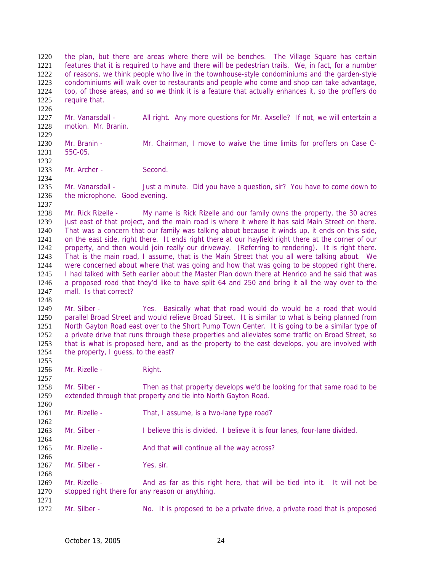the plan, but there are areas where there will be benches. The Village Square has certain features that it is required to have and there will be pedestrian trails. We, in fact, for a number of reasons, we think people who live in the townhouse-style condominiums and the garden-style condominiums will walk over to restaurants and people who come and shop can take advantage, too, of those areas, and so we think it is a feature that actually enhances it, so the proffers do require that. 

Mr. Vanarsdall - All right. Any more questions for Mr. Axselle? If not, we will entertain a motion. Mr. Branin. 

Mr. Branin - Mr. Chairman, I move to waive the time limits for proffers on Case C-55C-05. 

1233 Mr. Archer - Second. 

1235 Mr. Vanarsdall - Just a minute. Did you have a question, sir? You have to come down to the microphone. Good evening.

Mr. Rick Rizelle - My name is Rick Rizelle and our family owns the property, the 30 acres 1239 just east of that project, and the main road is where it where it has said Main Street on there. That was a concern that our family was talking about because it winds up, it ends on this side, on the east side, right there. It ends right there at our hayfield right there at the corner of our property, and then would join really our driveway. (Referring to rendering). It is right there. That is the main road, I assume, that is the Main Street that you all were talking about. We were concerned about where that was going and how that was going to be stopped right there. I had talked with Seth earlier about the Master Plan down there at Henrico and he said that was a proposed road that they'd like to have split 64 and 250 and bring it all the way over to the mall. Is that correct?

Mr. Silber - Yes. Basically what that road would do would be a road that would parallel Broad Street and would relieve Broad Street. It is similar to what is being planned from North Gayton Road east over to the Short Pump Town Center. It is going to be a similar type of a private drive that runs through these properties and alleviates some traffic on Broad Street, so that is what is proposed here, and as the property to the east develops, you are involved with 1254 the property, I guess, to the east?

1256 Mr. Rizelle - Right.

Mr. Silber - Then as that property develops we'd be looking for that same road to be extended through that property and tie into North Gayton Road.

1261 Mr. Rizelle - That, I assume, is a two-lane type road?

Mr. Silber - I believe this is divided. I believe it is four lanes, four-lane divided.

1265 Mr. Rizelle - And that will continue all the way across?

1267 Mr. Silber - Yes, sir.

Mr. Rizelle - And as far as this right here, that will be tied into it. It will not be stopped right there for any reason or anything. 

1272 Mr. Silber - No. It is proposed to be a private drive, a private road that is proposed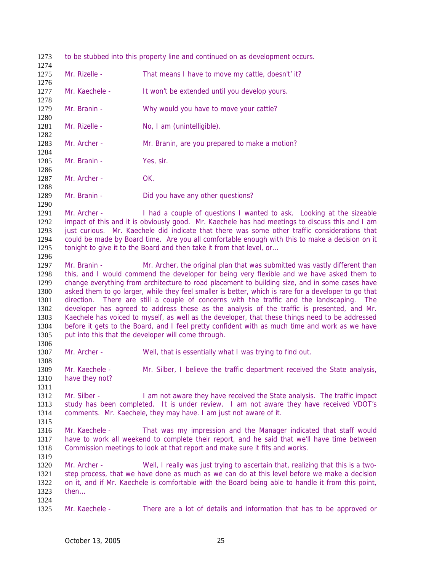to be stubbed into this property line and continued on as development occurs. 1275 Mr. Rizelle - That means I have to move my cattle, doesn't' it? 1277 Mr. Kaechele - It won't be extended until you develop yours. Mr. Branin - Why would you have to move your cattle? 1281 Mr. Rizelle - No, I am (unintelligible). Mr. Archer - Mr. Branin, are you prepared to make a motion? Mr. Branin - Yes, sir. 1286<br>1287 Mr. Archer - OK. 1289 Mr. Branin - Did you have any other questions? 1291 Mr. Archer - I had a couple of questions I wanted to ask. Looking at the sizeable impact of this and it is obviously good. Mr. Kaechele has had meetings to discuss this and I am just curious. Mr. Kaechele did indicate that there was some other traffic considerations that could be made by Board time. Are you all comfortable enough with this to make a decision on it 1295 tonight to give it to the Board and then take it from that level, or... 1297 Mr. Branin - Mr. Archer, the original plan that was submitted was vastly different than this, and I would commend the developer for being very flexible and we have asked them to change everything from architecture to road placement to building size, and in some cases have asked them to go larger, while they feel smaller is better, which is rare for a developer to go that direction. There are still a couple of concerns with the traffic and the landscaping. The developer has agreed to address these as the analysis of the traffic is presented, and Mr. Kaechele has voiced to myself, as well as the developer, that these things need to be addressed before it gets to the Board, and I feel pretty confident with as much time and work as we have put into this that the developer will come through. 1307 Mr. Archer - Well, that is essentially what I was trying to find out. Mr. Kaechele - Mr. Silber, I believe the traffic department received the State analysis, have they not? Mr. Silber - I am not aware they have received the State analysis. The traffic impact study has been completed. It is under review. I am not aware they have received VDOT's comments. Mr. Kaechele, they may have. I am just not aware of it. Mr. Kaechele - That was my impression and the Manager indicated that staff would have to work all weekend to complete their report, and he said that we'll have time between Commission meetings to look at that report and make sure it fits and works. Mr. Archer - Well, I really was just trying to ascertain that, realizing that this is a two-step process, that we have done as much as we can do at this level before we make a decision on it, and if Mr. Kaechele is comfortable with the Board being able to handle it from this point, then… Mr. Kaechele - There are a lot of details and information that has to be approved or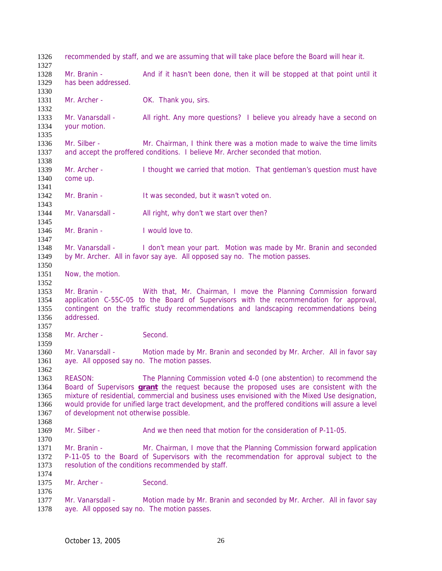recommended by staff, and we are assuming that will take place before the Board will hear it. 1328 Mr. Branin - And if it hasn't been done, then it will be stopped at that point until it has been addressed. 1331 Mr. Archer - OK. Thank you, sirs. Mr. Vanarsdall - All right. Any more questions? I believe you already have a second on your motion. Mr. Silber - Mr. Chairman, I think there was a motion made to waive the time limits and accept the proffered conditions. I believe Mr. Archer seconded that motion. 1339 Mr. Archer - I thought we carried that motion. That gentleman's question must have 1340 come up. come up. Mr. Branin - It was seconded, but it wasn't voted on. 1344 Mr. Vanarsdall - All right, why don't we start over then? 1346 Mr. Branin - I would love to. 1348 Mr. Vanarsdall - I don't mean your part. Motion was made by Mr. Branin and seconded by Mr. Archer. All in favor say aye. All opposed say no. The motion passes. Now, the motion. Mr. Branin - With that, Mr. Chairman, I move the Planning Commission forward application C-55C-05 to the Board of Supervisors with the recommendation for approval, contingent on the traffic study recommendations and landscaping recommendations being addressed. 1358 Mr. Archer - Second. Mr. Vanarsdall - Motion made by Mr. Branin and seconded by Mr. Archer. All in favor say aye. All opposed say no. The motion passes. REASON: The Planning Commission voted 4-0 (one abstention) to recommend the Board of Supervisors **grant** the request because the proposed uses are consistent with the mixture of residential, commercial and business uses envisioned with the Mixed Use designation, would provide for unified large tract development, and the proffered conditions will assure a level of development not otherwise possible. Mr. Silber - And we then need that motion for the consideration of P-11-05. 1371 Mr. Branin - Mr. Chairman, I move that the Planning Commission forward application P-11-05 to the Board of Supervisors with the recommendation for approval subject to the resolution of the conditions recommended by staff. Mr. Archer - Second. 1377 Mr. Vanarsdall - Motion made by Mr. Branin and seconded by Mr. Archer. All in favor say aye. All opposed say no. The motion passes.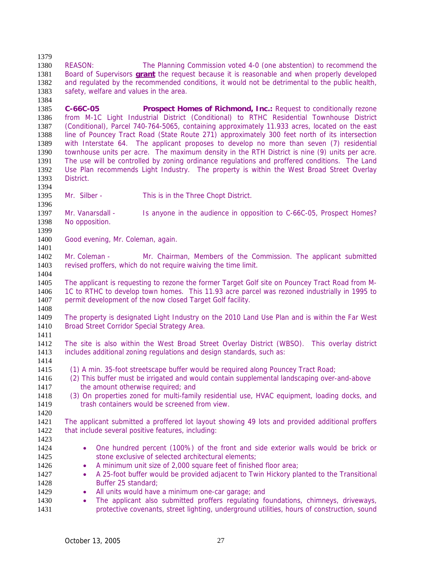REASON: The Planning Commission voted 4-0 (one abstention) to recommend the Board of Supervisors **grant** the request because it is reasonable and when properly developed and regulated by the recommended conditions, it would not be detrimental to the public health, safety, welfare and values in the area. 

**C-66C-05 Prospect Homes of Richmond, Inc.:** Request to conditionally rezone from M-1C Light Industrial District (Conditional) to RTHC Residential Townhouse District (Conditional), Parcel 740-764-5065, containing approximately 11.933 acres, located on the east line of Pouncey Tract Road (State Route 271) approximately 300 feet north of its intersection with Interstate 64. The applicant proposes to develop no more than seven (7) residential townhouse units per acre. The maximum density in the RTH District is nine (9) units per acre. The use will be controlled by zoning ordinance regulations and proffered conditions. The Land 1392 Use Plan recommends Light Industry. The property is within the West Broad Street Overlay<br>1393 District. District.

Mr. Silber - This is in the Three Chopt District.

Mr. Vanarsdall - Is anyone in the audience in opposition to C-66C-05, Prospect Homes? No opposition.

Good evening, Mr. Coleman, again.

Mr. Coleman - Mr. Chairman, Members of the Commission. The applicant submitted revised proffers, which do not require waiving the time limit. 

The applicant is requesting to rezone the former Target Golf site on Pouncey Tract Road from M-1C to RTHC to develop town homes. This 11.93 acre parcel was rezoned industrially in 1995 to 1407 permit development of the now closed Target Golf facility.

The property is designated Light Industry on the 2010 Land Use Plan and is within the Far West 1410 Broad Street Corridor Special Strategy Area.

The site is also within the West Broad Street Overlay District (WBSO). This overlay district includes additional zoning regulations and design standards, such as: 

- (1) A min. 35-foot streetscape buffer would be required along Pouncey Tract Road;
- (2) This buffer must be irrigated and would contain supplemental landscaping over-and-above 1417 the amount otherwise required; and
- (3) On properties zoned for multi-family residential use, HVAC equipment, loading docks, and 1419 trash containers would be screened from view.

The applicant submitted a proffered lot layout showing 49 lots and provided additional proffers 1422 that include several positive features, including: 

- One hundred percent (100%) of the front and side exterior walls would be brick or 1425 stone exclusive of selected architectural elements;
- 1426 A minimum unit size of 2,000 square feet of finished floor area;
- A 25-foot buffer would be provided adjacent to Twin Hickory planted to the Transitional Buffer 25 standard;
- 1429 All units would have a minimum one-car garage; and
- The applicant also submitted proffers regulating foundations, chimneys, driveways, protective covenants, street lighting, underground utilities, hours of construction, sound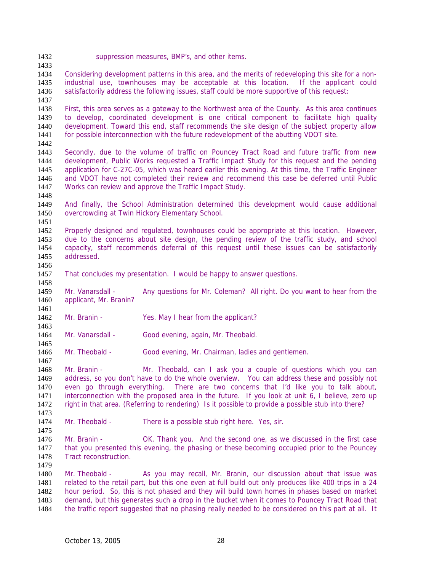suppression measures, BMP's, and other items.

Considering development patterns in this area, and the merits of redeveloping this site for a non-industrial use, townhouses may be acceptable at this location. If the applicant could satisfactorily address the following issues, staff could be more supportive of this request:

First, this area serves as a gateway to the Northwest area of the County. As this area continues to develop, coordinated development is one critical component to facilitate high quality development. Toward this end, staff recommends the site design of the subject property allow for possible interconnection with the future redevelopment of the abutting VDOT site. 

Secondly, due to the volume of traffic on Pouncey Tract Road and future traffic from new development, Public Works requested a Traffic Impact Study for this request and the pending 1445 application for C-27C-05, which was heard earlier this evening. At this time, the Traffic Engineer<br>1446 and VDOT have not completed their review and recommend this case be deferred until Public and VDOT have not completed their review and recommend this case be deferred until Public Works can review and approve the Traffic Impact Study.

And finally, the School Administration determined this development would cause additional overcrowding at Twin Hickory Elementary School. 

Properly designed and regulated, townhouses could be appropriate at this location. However, due to the concerns about site design, the pending review of the traffic study, and school capacity, staff recommends deferral of this request until these issues can be satisfactorily addressed. 

That concludes my presentation. I would be happy to answer questions.

Mr. Vanarsdall - Any questions for Mr. Coleman? All right. Do you want to hear from the applicant, Mr. Branin? 

- 1462 Mr. Branin Yes. May I hear from the applicant?
- 1464 Mr. Vanarsdall Good evening, again, Mr. Theobald.

Mr. Theobald - Good evening, Mr. Chairman, ladies and gentlemen.

1468 Mr. Branin - Mr. Theobald, can I ask you a couple of questions which you can address, so you don't have to do the whole overview. You can address these and possibly not even go through everything. There are two concerns that I'd like you to talk about, interconnection with the proposed area in the future. If you look at unit 6, I believe, zero up right in that area. (Referring to rendering) Is it possible to provide a possible stub into there?

1474 Mr. Theobald - There is a possible stub right here. Yes, sir.

Mr. Branin - OK. Thank you. And the second one, as we discussed in the first case that you presented this evening, the phasing or these becoming occupied prior to the Pouncey Tract reconstruction.

Mr. Theobald - As you may recall, Mr. Branin, our discussion about that issue was related to the retail part, but this one even at full build out only produces like 400 trips in a 24 hour period. So, this is not phased and they will build town homes in phases based on market demand, but this generates such a drop in the bucket when it comes to Pouncey Tract Road that the traffic report suggested that no phasing really needed to be considered on this part at all. It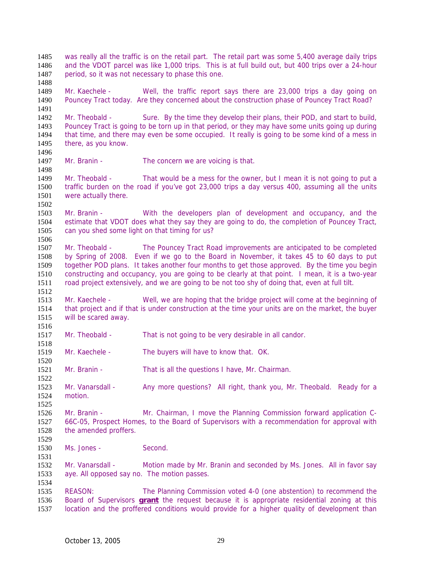was really all the traffic is on the retail part. The retail part was some 5,400 average daily trips and the VDOT parcel was like 1,000 trips. This is at full build out, but 400 trips over a 24-hour period, so it was not necessary to phase this one. 

Mr. Kaechele - Well, the traffic report says there are 23,000 trips a day going on Pouncey Tract today. Are they concerned about the construction phase of Pouncey Tract Road?

Mr. Theobald - Sure. By the time they develop their plans, their POD, and start to build, Pouncey Tract is going to be torn up in that period, or they may have some units going up during that time, and there may even be some occupied. It really is going to be some kind of a mess in there, as you know.

1497 Mr. Branin - The concern we are voicing is that.

1498<br>1499 Mr. Theobald - That would be a mess for the owner, but I mean it is not going to put a traffic burden on the road if you've got 23,000 trips a day versus 400, assuming all the units were actually there.

Mr. Branin - With the developers plan of development and occupancy, and the estimate that VDOT does what they say they are going to do, the completion of Pouncey Tract, can you shed some light on that timing for us? 

Mr. Theobald - The Pouncey Tract Road improvements are anticipated to be completed by Spring of 2008. Even if we go to the Board in November, it takes 45 to 60 days to put together POD plans. It takes another four months to get those approved. By the time you begin constructing and occupancy, you are going to be clearly at that point. I mean, it is a two-year road project extensively, and we are going to be not too shy of doing that, even at full tilt.

Mr. Kaechele - Well, we are hoping that the bridge project will come at the beginning of that project and if that is under construction at the time your units are on the market, the buyer will be scared away.

- Mr. Theobald That is not going to be very desirable in all candor.
- Mr. Kaechele The buyers will have to know that. OK.

Mr. Branin - That is all the questions I have, Mr. Chairman.

Mr. Vanarsdall - Any more questions? All right, thank you, Mr. Theobald. Ready for a motion.

Mr. Branin - Mr. Chairman, I move the Planning Commission forward application C-66C-05, Prospect Homes, to the Board of Supervisors with a recommendation for approval with the amended proffers.

Ms. Jones - Second.

Mr. Vanarsdall - Motion made by Mr. Branin and seconded by Ms. Jones. All in favor say aye. All opposed say no. The motion passes.

REASON: The Planning Commission voted 4-0 (one abstention) to recommend the Board of Supervisors **grant** the request because it is appropriate residential zoning at this location and the proffered conditions would provide for a higher quality of development than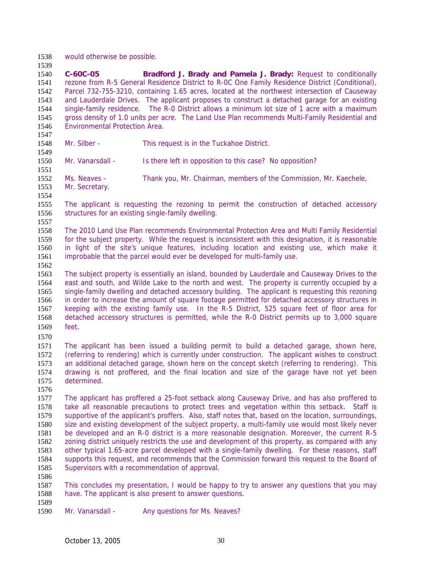would otherwise be possible.

**C-60C-05 Bradford J. Brady and Pamela J. Brady:** Request to conditionally rezone from R-5 General Residence District to R-0C One Family Residence District (Conditional), Parcel 732-755-3210, containing 1.65 acres, located at the northwest intersection of Causeway and Lauderdale Drives. The applicant proposes to construct a detached garage for an existing single-family residence. The R-0 District allows a minimum lot size of 1 acre with a maximum gross density of 1.0 units per acre. The Land Use Plan recommends Multi-Family Residential and Environmental Protection Area.

 Mr. Silber - This request is in the Tuckahoe District.

- 
- Mr. Vanarsdall Is there left in opposition to this case? No opposition?
- 1551<br>1552 Ms. Neaves - Thank you, Mr. Chairman, members of the Commission, Mr. Kaechele, Mr. Secretary.
- 
- The applicant is requesting the rezoning to permit the construction of detached accessory structures for an existing single-family dwelling.
- The 2010 Land Use Plan recommends Environmental Protection Area and Multi Family Residential for the subject property. While the request is inconsistent with this designation, it is reasonable in light of the site's unique features, including location and existing use, which make it improbable that the parcel would ever be developed for multi-family use.
- 
- The subject property is essentially an island, bounded by Lauderdale and Causeway Drives to the east and south, and Wilde Lake to the north and west. The property is currently occupied by a single-family dwelling and detached accessory building. The applicant is requesting this rezoning in order to increase the amount of square footage permitted for detached accessory structures in keeping with the existing family use. In the R-5 District, 525 square feet of floor area for detached accessory structures is permitted, while the R-0 District permits up to 3,000 square feet.
- 

The applicant has been issued a building permit to build a detached garage, shown here, (referring to rendering) which is currently under construction. The applicant wishes to construct an additional detached garage, shown here on the concept sketch (referring to rendering). This drawing is not proffered, and the final location and size of the garage have not yet been determined.

- The applicant has proffered a 25-foot setback along Causeway Drive, and has also proffered to take all reasonable precautions to protect trees and vegetation within this setback. Staff is supportive of the applicant's proffers. Also, staff notes that, based on the location, surroundings, size and existing development of the subject property, a multi-family use would most likely never be developed and an R-0 district is a more reasonable designation. Moreover, the current R-5 zoning district uniquely restricts the use and development of this property, as compared with any other typical 1.65-acre parcel developed with a single-family dwelling. For these reasons, staff supports this request, and recommends that the Commission forward this request to the Board of Supervisors with a recommendation of approval.
- 

This concludes my presentation, I would be happy to try to answer any questions that you may have. The applicant is also present to answer questions.

- 
- 1590 Mr. Vanarsdall Any questions for Ms. Neaves?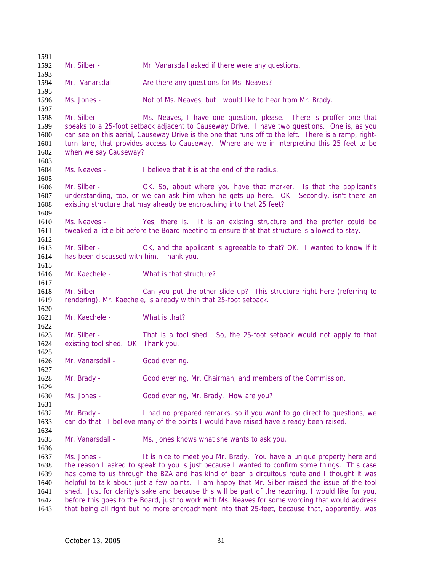Mr. Silber - Mr. Vanarsdall asked if there were any questions. 1594 Mr. Vanarsdall - Are there any questions for Ms. Neaves? Ms. Jones - Not of Ms. Neaves, but I would like to hear from Mr. Brady. Mr. Silber - Ms. Neaves, I have one question, please. There is proffer one that speaks to a 25-foot setback adjacent to Causeway Drive. I have two questions. One is, as you can see on this aerial, Causeway Drive is the one that runs off to the left. There is a ramp, right-turn lane, that provides access to Causeway. Where are we in interpreting this 25 feet to be when we say Causeway? Ms. Neaves - I believe that it is at the end of the radius. Mr. Silber - OK. So, about where you have that marker. Is that the applicant's understanding, too, or we can ask him when he gets up here. OK. Secondly, isn't there an existing structure that may already be encroaching into that 25 feet? Ms. Neaves - Yes, there is. It is an existing structure and the proffer could be tweaked a little bit before the Board meeting to ensure that that structure is allowed to stay. 1613 Mr. Silber - OK, and the applicant is agreeable to that? OK. I wanted to know if it has been discussed with him. Thank you. Mr. Kaechele - What is that structure? 1618 Mr. Silber - Can you put the other slide up? This structure right here (referring to rendering), Mr. Kaechele, is already within that 25-foot setback. 1621 Mr. Kaechele - What is that? Mr. Silber - That is a tool shed. So, the 25-foot setback would not apply to that existing tool shed. OK. Thank you. 1626 Mr. Vanarsdall - Good evening. Mr. Brady - Good evening, Mr. Chairman, and members of the Commission. Ms. Jones - Good evening, Mr. Brady. How are you? Mr. Brady - I had no prepared remarks, so if you want to go direct to questions, we can do that. I believe many of the points I would have raised have already been raised. Mr. Vanarsdall - Ms. Jones knows what she wants to ask you. Ms. Jones - It is nice to meet you Mr. Brady. You have a unique property here and the reason I asked to speak to you is just because I wanted to confirm some things. This case has come to us through the BZA and has kind of been a circuitous route and I thought it was helpful to talk about just a few points. I am happy that Mr. Silber raised the issue of the tool shed. Just for clarity's sake and because this will be part of the rezoning, I would like for you, before this goes to the Board, just to work with Ms. Neaves for some wording that would address that being all right but no more encroachment into that 25-feet, because that, apparently, was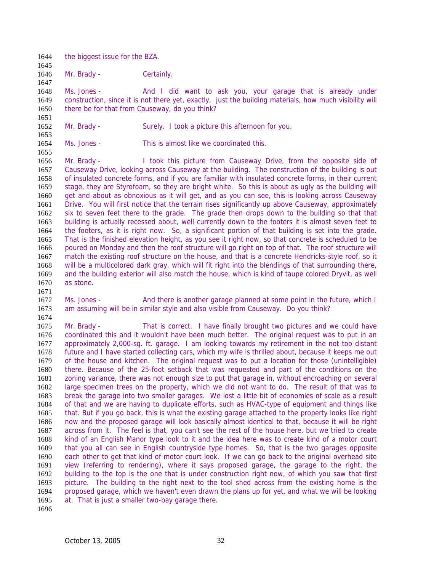- 1644 the biggest issue for the BZA.
- Mr. Brady Certainly.

1648 Ms. Jones - And I did want to ask you, your garage that is already under construction, since it is not there yet, exactly, just the building materials, how much visibility will there be for that from Causeway, do you think?

 Mr. Brady - Surely. I took a picture this afternoon for you.

- 
- Ms. Jones This is almost like we coordinated this.

 Mr. Brady - I took this picture from Causeway Drive, from the opposite side of 1657 Causeway Drive, looking across Causeway at the building. The construction of the building is out 1658 of insulated concrete forms, and if you are familiar with insulated concrete forms, in their current of insulated concrete forms, and if you are familiar with insulated concrete forms, in their current stage, they are Styrofoam, so they are bright white. So this is about as ugly as the building will get and about as obnoxious as it will get, and as you can see, this is looking across Causeway Drive. You will first notice that the terrain rises significantly up above Causeway, approximately six to seven feet there to the grade. The grade then drops down to the building so that that building is actually recessed about, well currently down to the footers it is almost seven feet to the footers, as it is right now. So, a significant portion of that building is set into the grade. That is the finished elevation height, as you see it right now, so that concrete is scheduled to be poured on Monday and then the roof structure will go right on top of that. The roof structure will match the existing roof structure on the house, and that is a concrete Hendricks-style roof, so it will be a multicolored dark gray, which will fit right into the blendings of that surrounding there, and the building exterior will also match the house, which is kind of taupe colored Dryvit, as well as stone.

- 
- Ms. Jones And there is another garage planned at some point in the future, which I am assuming will be in similar style and also visible from Causeway. Do you think?
- Mr. Brady That is correct. I have finally brought two pictures and we could have 1676 coordinated this and it wouldn't have been much better. The original request was to put in an 1677 approximately 2.000-sq. ft. qaraqe. I am looking towards my retirement in the not too distant approximately 2,000-sq. ft. garage. I am looking towards my retirement in the not too distant future and I have started collecting cars, which my wife is thrilled about, because it keeps me out of the house and kitchen. The original request was to put a location for those (unintelligible) there. Because of the 25-foot setback that was requested and part of the conditions on the zoning variance, there was not enough size to put that garage in, without encroaching on several large specimen trees on the property, which we did not want to do. The result of that was to break the garage into two smaller garages. We lost a little bit of economies of scale as a result of that and we are having to duplicate efforts, such as HVAC-type of equipment and things like that. But if you go back, this is what the existing garage attached to the property looks like right now and the proposed garage will look basically almost identical to that, because it will be right across from it. The feel is that, you can't see the rest of the house here, but we tried to create kind of an English Manor type look to it and the idea here was to create kind of a motor court that you all can see in English countryside type homes. So, that is the two garages opposite each other to get that kind of motor court look. If we can go back to the original overhead site view (referring to rendering), where it says proposed garage, the garage to the right, the building to the top is the one that is under construction right now, of which you saw that first picture. The building to the right next to the tool shed across from the existing home is the proposed garage, which we haven't even drawn the plans up for yet, and what we will be looking at. That is just a smaller two-bay garage there.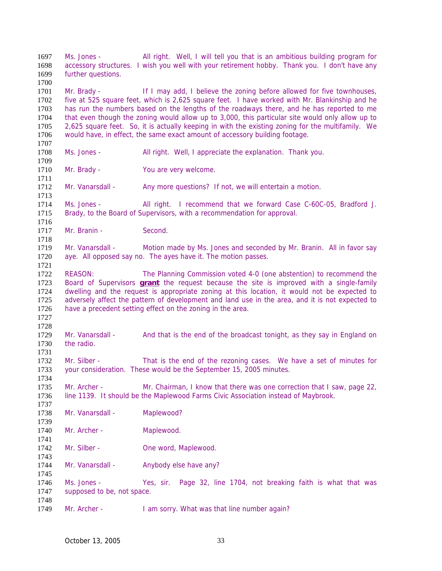Ms. Jones - All right. Well, I will tell you that is an ambitious building program for accessory structures. I wish you well with your retirement hobby. Thank you. I don't have any further questions. Mr. Brady - If I may add, I believe the zoning before allowed for five townhouses, five at 525 square feet, which is 2,625 square feet. I have worked with Mr. Blankinship and he has run the numbers based on the lengths of the roadways there, and he has reported to me that even though the zoning would allow up to 3,000, this particular site would only allow up to 2,625 square feet. So, it is actually keeping in with the existing zoning for the multifamily. We would have, in effect, the same exact amount of accessory building footage. Ms. Jones - All right. Well, I appreciate the explanation. Thank you. 1710 Mr. Brady - You are very welcome. 1712 Mr. Vanarsdall - Any more questions? If not, we will entertain a motion. Ms. Jones - All right. I recommend that we forward Case C-60C-05, Bradford J. Brady, to the Board of Supervisors, with a recommendation for approval. 1717 Mr. Branin - Second. 1719 Mr. Vanarsdall - Motion made by Ms. Jones and seconded by Mr. Branin. All in favor say aye. All opposed say no. The ayes have it. The motion passes. REASON: The Planning Commission voted 4-0 (one abstention) to recommend the Board of Supervisors **grant** the request because the site is improved with a single-family dwelling and the request is appropriate zoning at this location, it would not be expected to adversely affect the pattern of development and land use in the area, and it is not expected to have a precedent setting effect on the zoning in the area. Mr. Vanarsdall - And that is the end of the broadcast tonight, as they say in England on the radio. 1732 Mr. Silber - That is the end of the rezoning cases. We have a set of minutes for your consideration. These would be the September 15, 2005 minutes. Mr. Archer - Mr. Chairman, I know that there was one correction that I saw, page 22, line 1139. It should be the Maplewood Farms Civic Association instead of Maybrook. 1738 Mr. Vanarsdall - Maplewood? 1740 Mr. Archer - Maplewood. 1742 Mr. Silber - One word, Maplewood. 1744 Mr. Vanarsdall - Anybody else have any? Ms. Jones - Yes, sir. Page 32, line 1704, not breaking faith is what that was supposed to be, not space. 1749 Mr. Archer - I am sorry. What was that line number again?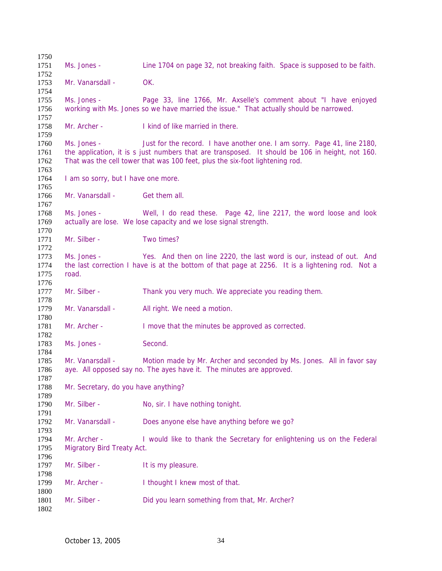| 1750         |                                                                                                 |                                                                                                 |  |
|--------------|-------------------------------------------------------------------------------------------------|-------------------------------------------------------------------------------------------------|--|
| 1751         | Ms. Jones -                                                                                     | Line 1704 on page 32, not breaking faith. Space is supposed to be faith.                        |  |
| 1752         |                                                                                                 |                                                                                                 |  |
| 1753<br>1754 | Mr. Vanarsdall -                                                                                | OK.                                                                                             |  |
| 1755         | Ms. Jones -                                                                                     | Page 33, line 1766, Mr. Axselle's comment about "I have enjoyed                                 |  |
| 1756         |                                                                                                 | working with Ms. Jones so we have married the issue." That actually should be narrowed.         |  |
| 1757<br>1758 | Mr. Archer -                                                                                    | I kind of like married in there.                                                                |  |
| 1759         |                                                                                                 |                                                                                                 |  |
| 1760         | Ms. Jones -                                                                                     | Just for the record. I have another one. I am sorry. Page 41, line 2180,                        |  |
| 1761         | the application, it is s just numbers that are transposed. It should be 106 in height, not 160. |                                                                                                 |  |
| 1762         |                                                                                                 | That was the cell tower that was 100 feet, plus the six-foot lightening rod.                    |  |
| 1763         |                                                                                                 |                                                                                                 |  |
| 1764         | I am so sorry, but I have one more.                                                             |                                                                                                 |  |
| 1765         |                                                                                                 |                                                                                                 |  |
| 1766         | Mr. Vanarsdall -                                                                                | Get them all.                                                                                   |  |
| 1767<br>1768 | Ms. Jones -                                                                                     | Well, I do read these. Page 42, line 2217, the word loose and look                              |  |
| 1769         |                                                                                                 | actually are lose. We lose capacity and we lose signal strength.                                |  |
| 1770         |                                                                                                 |                                                                                                 |  |
| 1771         | Mr. Silber -                                                                                    | Two times?                                                                                      |  |
| 1772         |                                                                                                 |                                                                                                 |  |
| 1773         | Ms. Jones -                                                                                     | Yes. And then on line 2220, the last word is our, instead of out. And                           |  |
| 1774         |                                                                                                 | the last correction I have is at the bottom of that page at 2256. It is a lightening rod. Not a |  |
| 1775         | road.                                                                                           |                                                                                                 |  |
| 1776         |                                                                                                 |                                                                                                 |  |
| 1777         | Mr. Silber -                                                                                    | Thank you very much. We appreciate you reading them.                                            |  |
| 1778         |                                                                                                 |                                                                                                 |  |
| 1779         | Mr. Vanarsdall -                                                                                | All right. We need a motion.                                                                    |  |
| 1780<br>1781 | Mr. Archer -                                                                                    | I move that the minutes be approved as corrected.                                               |  |
| 1782         |                                                                                                 |                                                                                                 |  |
| 1783         | Ms. Jones -                                                                                     | Second.                                                                                         |  |
| 1784         |                                                                                                 |                                                                                                 |  |
| 1785         | Mr. Vanarsdall -                                                                                | Motion made by Mr. Archer and seconded by Ms. Jones. All in favor say                           |  |
| 1786         |                                                                                                 | aye. All opposed say no. The ayes have it. The minutes are approved.                            |  |
| 1787         |                                                                                                 |                                                                                                 |  |
| 1788         | Mr. Secretary, do you have anything?                                                            |                                                                                                 |  |
| 1789         |                                                                                                 |                                                                                                 |  |
| 1790         | Mr. Silber -                                                                                    | No, sir. I have nothing tonight.                                                                |  |
| 1791         | Mr. Vanarsdall -                                                                                |                                                                                                 |  |
| 1792<br>1793 |                                                                                                 | Does anyone else have anything before we go?                                                    |  |
| 1794         | Mr. Archer -                                                                                    | I would like to thank the Secretary for enlightening us on the Federal                          |  |
| 1795         | Migratory Bird Treaty Act.                                                                      |                                                                                                 |  |
| 1796         |                                                                                                 |                                                                                                 |  |
| 1797         | Mr. Silber -                                                                                    | It is my pleasure.                                                                              |  |
| 1798         |                                                                                                 |                                                                                                 |  |
| 1799         | Mr. Archer -                                                                                    | I thought I knew most of that.                                                                  |  |
| 1800         |                                                                                                 |                                                                                                 |  |
| 1801         | Mr. Silber -                                                                                    | Did you learn something from that, Mr. Archer?                                                  |  |
| 1802         |                                                                                                 |                                                                                                 |  |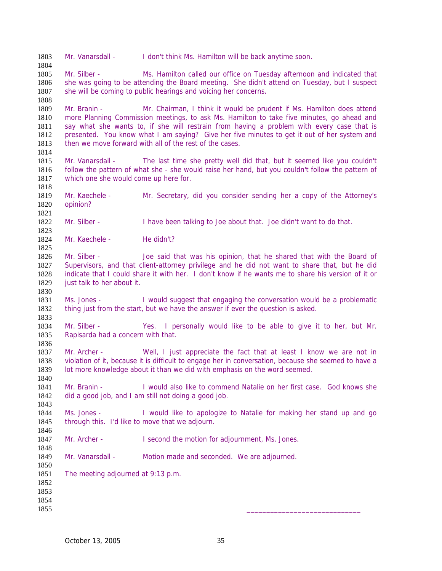Mr. Vanarsdall - I don't think Ms. Hamilton will be back anytime soon.

Mr. Silber - Ms. Hamilton called our office on Tuesday afternoon and indicated that she was going to be attending the Board meeting. She didn't attend on Tuesday, but I suspect 1807 she will be coming to public hearings and voicing her concerns.

Mr. Branin - Mr. Chairman, I think it would be prudent if Ms. Hamilton does attend more Planning Commission meetings, to ask Ms. Hamilton to take five minutes, go ahead and say what she wants to, if she will restrain from having a problem with every case that is presented. You know what I am saying? Give her five minutes to get it out of her system and 1813 then we move forward with all of the rest of the cases.

- Mr. Vanarsdall The last time she pretty well did that, but it seemed like you couldn't 1816 follow the pattern of what she - she would raise her hand, but you couldn't follow the pattern of 1817 which one she would come up here for. which one she would come up here for.
- Mr. Kaechele Mr. Secretary, did you consider sending her a copy of the Attorney's opinion?
- 1822 Mr. Silber I have been talking to Joe about that. Joe didn't want to do that.
- 1824 Mr. Kaechele He didn't?
- Mr. Silber Joe said that was his opinion, that he shared that with the Board of Supervisors, and that client-attorney privilege and he did not want to share that, but he did indicate that I could share it with her. I don't know if he wants me to share his version of it or 1829 just talk to her about it.
- Ms. Jones I would suggest that engaging the conversation would be a problematic thing just from the start, but we have the answer if ever the question is asked.
- Mr. Silber Yes. I personally would like to be able to give it to her, but Mr. Rapisarda had a concern with that.
- 1837 Mr. Archer Well, I just appreciate the fact that at least I know we are not in violation of it, because it is difficult to engage her in conversation, because she seemed to have a lot more knowledge about it than we did with emphasis on the word seemed.
- Mr. Branin I would also like to commend Natalie on her first case. God knows she did a good job, and I am still not doing a good job.
- Ms. Jones I would like to apologize to Natalie for making her stand up and go through this. I'd like to move that we adjourn.
- 1847 Mr. Archer I second the motion for adjournment, Ms. Jones.
- 1849 Mr. Vanarsdall Motion made and seconded. We are adjourned.
- The meeting adjourned at 9:13 p.m.
- 

- 
- \_\_\_\_\_\_\_\_\_\_\_\_\_\_\_\_\_\_\_\_\_\_\_\_\_\_\_\_\_